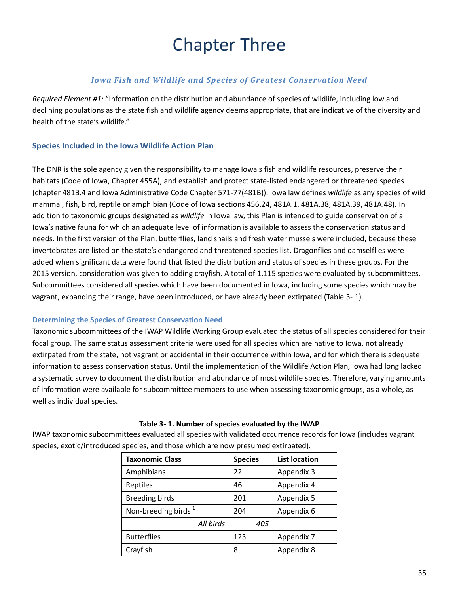# *Iowa Fish and Wildlife and Species of Greatest Conservation Need*

*Required Element #1:* "Information on the distribution and abundance of species of wildlife, including low and declining populations as the state fish and wildlife agency deems appropriate, that are indicative of the diversity and health of the state's wildlife."

# **Species Included in the Iowa Wildlife Action Plan**

The DNR is the sole agency given the responsibility to manage Iowa's fish and wildlife resources, preserve their habitats (Code of Iowa, Chapter 455A), and establish and protect state-listed endangered or threatened species (chapter 481B.4 and Iowa Administrative Code Chapter 571-77(481B)). Iowa law defines *wildlife* as any species of wild mammal, fish, bird, reptile or amphibian (Code of Iowa sections 456.24, 481A.1, 481A.38, 481A.39, 481A.48). In addition to taxonomic groups designated as *wildlife* in Iowa law, this Plan is intended to guide conservation of all Iowa's native fauna for which an adequate level of information is available to assess the conservation status and needs. In the first version of the Plan, butterflies, land snails and fresh water mussels were included, because these invertebrates are listed on the state's endangered and threatened species list. Dragonflies and damselflies were added when significant data were found that listed the distribution and status of species in these groups. For the 2015 version, consideration was given to adding crayfish. A total of 1,115 species were evaluated by subcommittees. Subcommittees considered all species which have been documented in Iowa, including some species which may be vagrant, expanding their range, have been introduced, or have already been extirpated [\(Table 3](#page-0-0)- 1).

### **Determining the Species of Greatest Conservation Need**

Taxonomic subcommittees of the IWAP Wildlife Working Group evaluated the status of all species considered for their focal group. The same status assessment criteria were used for all species which are native to Iowa, not already extirpated from the state, not vagrant or accidental in their occurrence within Iowa, and for which there is adequate information to assess conservation status. Until the implementation of the Wildlife Action Plan, Iowa had long lacked a systematic survey to document the distribution and abundance of most wildlife species. Therefore, varying amounts of information were available for subcommittee members to use when assessing taxonomic groups, as a whole, as well as individual species.

| <b>Taxonomic Class</b>          | <b>Species</b> | <b>List location</b> |
|---------------------------------|----------------|----------------------|
| Amphibians                      | 22             | Appendix 3           |
| <b>Reptiles</b>                 | 46             | Appendix 4           |
| <b>Breeding birds</b>           | 201            | Appendix 5           |
| Non-breeding birds <sup>1</sup> | 204            | Appendix 6           |
| All birds                       | 405            |                      |
| <b>Butterflies</b>              | 123            | Appendix 7           |
| Crayfish                        | 8              | Appendix 8           |

### **Table 3- 1. Number of species evaluated by the IWAP**

<span id="page-0-0"></span>IWAP taxonomic subcommittees evaluated all species with validated occurrence records for Iowa (includes vagrant species, exotic/introduced species, and those which are now presumed extirpated).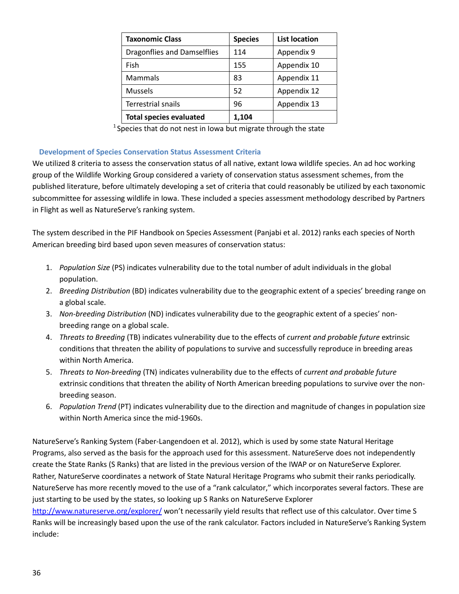| <b>Taxonomic Class</b>             | <b>Species</b> | <b>List location</b> |
|------------------------------------|----------------|----------------------|
| <b>Dragonflies and Damselflies</b> | 114            | Appendix 9           |
| Fish                               | 155            | Appendix 10          |
| Mammals                            | 83             | Appendix 11          |
| <b>Mussels</b>                     | 52             | Appendix 12          |
| Terrestrial snails                 | 96             | Appendix 13          |
| <b>Total species evaluated</b>     | 1,104          |                      |

 $1$  Species that do not nest in Iowa but migrate through the state

# **Development of Species Conservation Status Assessment Criteria**

We utilized 8 criteria to assess the conservation status of all native, extant Iowa wildlife species. An ad hoc working group of the Wildlife Working Group considered a variety of conservation status assessment schemes, from the published literature, before ultimately developing a set of criteria that could reasonably be utilized by each taxonomic subcommittee for assessing wildlife in Iowa. These included a species assessment methodology described by Partners in Flight as well as NatureServe's ranking system.

The system described in the PIF Handbook on Species Assessment (Panjabi et al. 2012) ranks each species of North American breeding bird based upon seven measures of conservation status:

- 1. *Population Size* (PS) indicates vulnerability due to the total number of adult individuals in the global population.
- 2. *Breeding Distribution* (BD) indicates vulnerability due to the geographic extent of a species' breeding range on a global scale.
- 3. *Non-breeding Distribution* (ND) indicates vulnerability due to the geographic extent of a species' nonbreeding range on a global scale.
- 4. *Threats to Breeding* (TB) indicates vulnerability due to the effects of *current and probable future* extrinsic conditions that threaten the ability of populations to survive and successfully reproduce in breeding areas within North America.
- 5. *Threats to Non-breeding* (TN) indicates vulnerability due to the effects of *current and probable future*  extrinsic conditions that threaten the ability of North American breeding populations to survive over the nonbreeding season.
- 6. *Population Trend* (PT) indicates vulnerability due to the direction and magnitude of changes in population size within North America since the mid-1960s.

NatureServe's Ranking System (Faber-Langendoen et al. 2012), which is used by some state Natural Heritage Programs, also served as the basis for the approach used for this assessment. NatureServe does not independently create the State Ranks (S Ranks) that are listed in the previous version of the IWAP or on NatureServe Explorer. Rather, NatureServe coordinates a network of State Natural Heritage Programs who submit their ranks periodically. NatureServe has more recently moved to the use of a "rank calculator," which incorporates several factors. These are just starting to be used by the states, so looking up S Ranks on NatureServe Explorer

<http://www.natureserve.org/explorer/> won't necessarily yield results that reflect use of this calculator. Over time S Ranks will be increasingly based upon the use of the rank calculator. Factors included in NatureServe's Ranking System include: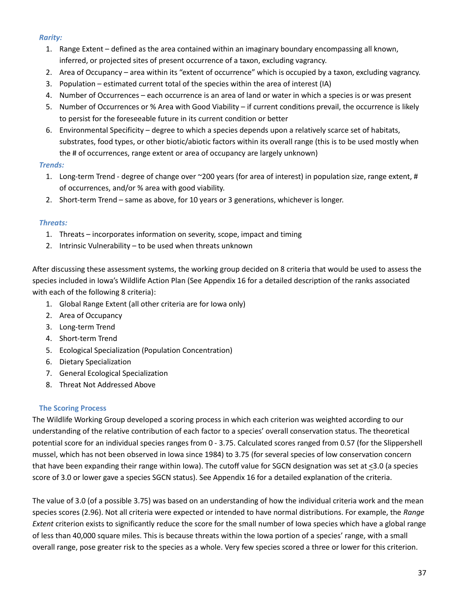# *Rarity:*

- 1. Range Extent defined as the area contained within an imaginary boundary encompassing all known, inferred, or projected sites of present occurrence of a taxon, excluding vagrancy.
- 2. Area of Occupancy area within its "extent of occurrence" which is occupied by a taxon, excluding vagrancy.
- 3. Population estimated current total of the species within the area of interest (IA)
- 4. Number of Occurrences each occurrence is an area of land or water in which a species is or was present
- 5. Number of Occurrences or % Area with Good Viability if current conditions prevail, the occurrence is likely to persist for the foreseeable future in its current condition or better
- 6. Environmental Specificity degree to which a species depends upon a relatively scarce set of habitats, substrates, food types, or other biotic/abiotic factors within its overall range (this is to be used mostly when the # of occurrences, range extent or area of occupancy are largely unknown)

# *Trends:*

- 1. Long-term Trend degree of change over ~200 years (for area of interest) in population size, range extent, # of occurrences, and/or % area with good viability.
- 2. Short-term Trend same as above, for 10 years or 3 generations, whichever is longer.

# *Threats:*

- 1. Threats incorporates information on severity, scope, impact and timing
- 2. Intrinsic Vulnerability to be used when threats unknown

After discussing these assessment systems, the working group decided on 8 criteria that would be used to assess the species included in Iowa's Wildlife Action Plan (See Appendix 16 for a detailed description of the ranks associated with each of the following 8 criteria):

- 1. Global Range Extent (all other criteria are for Iowa only)
- 2. Area of Occupancy
- 3. Long-term Trend
- 4. Short-term Trend
- 5. Ecological Specialization (Population Concentration)
- 6. Dietary Specialization
- 7. General Ecological Specialization
- 8. Threat Not Addressed Above

# **The Scoring Process**

The Wildlife Working Group developed a scoring process in which each criterion was weighted according to our understanding of the relative contribution of each factor to a species' overall conservation status. The theoretical potential score for an individual species ranges from 0 - 3.75. Calculated scores ranged from 0.57 (for the Slippershell mussel, which has not been observed in Iowa since 1984) to 3.75 (for several species of low conservation concern that have been expanding their range within Iowa). The cutoff value for SGCN designation was set at <3.0 (a species score of 3.0 or lower gave a species SGCN status). See Appendix 16 for a detailed explanation of the criteria.

The value of 3.0 (of a possible 3.75) was based on an understanding of how the individual criteria work and the mean species scores (2.96). Not all criteria were expected or intended to have normal distributions. For example, the *Range Extent* criterion exists to significantly reduce the score for the small number of Iowa species which have a global range of less than 40,000 square miles. This is because threats within the Iowa portion of a species' range, with a small overall range, pose greater risk to the species as a whole. Very few species scored a three or lower for this criterion.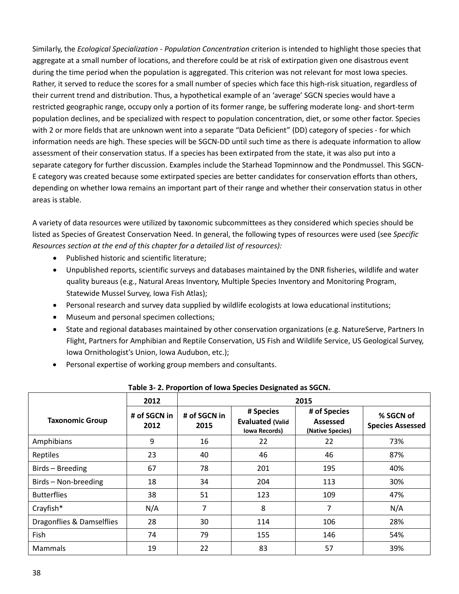Similarly, the *Ecological Specialization - Population Concentration* criterion is intended to highlight those species that aggregate at a small number of locations, and therefore could be at risk of extirpation given one disastrous event during the time period when the population is aggregated. This criterion was not relevant for most Iowa species. Rather, it served to reduce the scores for a small number of species which face this high-risk situation, regardless of their current trend and distribution. Thus, a hypothetical example of an 'average' SGCN species would have a restricted geographic range, occupy only a portion of its former range, be suffering moderate long- and short-term population declines, and be specialized with respect to population concentration, diet, or some other factor. Species with 2 or more fields that are unknown went into a separate "Data Deficient" (DD) category of species - for which information needs are high. These species will be SGCN-DD until such time as there is adequate information to allow assessment of their conservation status. If a species has been extirpated from the state, it was also put into a separate category for further discussion. Examples include the Starhead Topminnow and the Pondmussel. This SGCN-E category was created because some extirpated species are better candidates for conservation efforts than others, depending on whether Iowa remains an important part of their range and whether their conservation status in other areas is stable.

A variety of data resources were utilized by taxonomic subcommittees as they considered which species should be listed as Species of Greatest Conservation Need. In general, the following types of resources were used (see *Specific Resources section at the end of this chapter for a detailed list of resources):*

- Published historic and scientific literature;
- Unpublished reports, scientific surveys and databases maintained by the DNR fisheries, wildlife and water quality bureaus (e.g., Natural Areas Inventory, Multiple Species Inventory and Monitoring Program, Statewide Mussel Survey, Iowa Fish Atlas);
- Personal research and survey data supplied by wildlife ecologists at Iowa educational institutions;
- Museum and personal specimen collections;
- State and regional databases maintained by other conservation organizations (e.g. NatureServe, Partners In Flight, Partners for Amphibian and Reptile Conservation, US Fish and Wildlife Service, US Geological Survey, Iowa Ornithologist's Union, Iowa Audubon, etc.);
- Personal expertise of working group members and consultants.

| Table 5- 2. Proportion of lowa species Designated as SQCN. |                      |                      |                                                              |                                                     |                                      |
|------------------------------------------------------------|----------------------|----------------------|--------------------------------------------------------------|-----------------------------------------------------|--------------------------------------|
|                                                            | 2012                 |                      |                                                              | 2015                                                |                                      |
| <b>Taxonomic Group</b>                                     | # of SGCN in<br>2012 | # of SGCN in<br>2015 | # Species<br><b>Evaluated (Valid</b><br><b>Iowa Records)</b> | # of Species<br><b>Assessed</b><br>(Native Species) | % SGCN of<br><b>Species Assessed</b> |
| Amphibians                                                 | 9                    | 16                   | 22                                                           | 22                                                  | 73%                                  |
| Reptiles                                                   | 23                   | 40                   | 46                                                           | 46                                                  | 87%                                  |
| Birds - Breeding                                           | 67                   | 78                   | 201                                                          | 195                                                 | 40%                                  |
| Birds - Non-breeding                                       | 18                   | 34                   | 204                                                          | 113                                                 | 30%                                  |
| <b>Butterflies</b>                                         | 38                   | 51                   | 123                                                          | 109                                                 | 47%                                  |
| Crayfish*                                                  | N/A                  | 7                    | 8                                                            | 7                                                   | N/A                                  |
| Dragonflies & Damselflies                                  | 28                   | 30                   | 114                                                          | 106                                                 | 28%                                  |
| Fish                                                       | 74                   | 79                   | 155                                                          | 146                                                 | 54%                                  |
| <b>Mammals</b>                                             | 19                   | 22                   | 83                                                           | 57                                                  | 39%                                  |

**Table 3- 2. Proportion of Iowa Species Designated as SGCN.**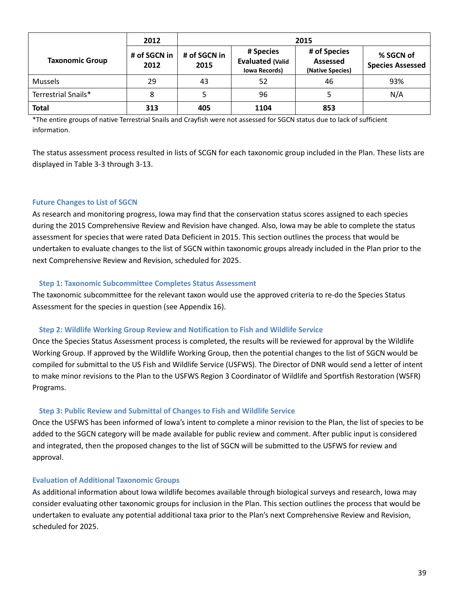|                        | 2012                 | 2015                 |                                                              |                                                     |                                      |
|------------------------|----------------------|----------------------|--------------------------------------------------------------|-----------------------------------------------------|--------------------------------------|
| <b>Taxonomic Group</b> | # of SGCN in<br>2012 | # of SGCN in<br>2015 | # Species<br><b>Evaluated (Valid</b><br><b>Iowa Records)</b> | # of Species<br><b>Assessed</b><br>(Native Species) | % SGCN of<br><b>Species Assessed</b> |
| <b>Mussels</b>         | 29                   | 43                   | 52                                                           | 46                                                  | 93%                                  |
| Terrestrial Snails*    | 8                    | 5                    | 96                                                           | 5.                                                  | N/A                                  |
| Total                  | 313                  | 405                  | 1104                                                         | 853                                                 |                                      |

\*The entire groups of native Terrestrial Snails and Crayfish were not assessed for SGCN status due to lack of sufficient information.

The status assessment process resulted in lists of SCGN for each taxonomic group included in the Plan. These lists are displayed in Table 3-3 through 3-13.

### **Future Changes to List of SGCN**

As research and monitoring progress, Iowa may find that the conservation status scores assigned to each species during the 2015 Comprehensive Review and Revision have changed. Also, Iowa may be able to complete the status assessment for species that were rated Data Deficient in 2015. This section outlines the process that would be undertaken to evaluate changes to the list of SGCN within taxonomic groups already included in the Plan prior to the next Comprehensive Review and Revision, scheduled for 2025.

#### **Step 1: Taxonomic Subcommittee Completes Status Assessment**

The taxonomic subcommittee for the relevant taxon would use the approved criteria to re-do the Species Status Assessment for the species in question (see Appendix 16).

#### **Step 2: Wildlife Working Group Review and Notification to Fish and Wildlife Service**

Once the Species Status Assessment process is completed, the results will be reviewed for approval by the Wildlife Working Group. If approved by the Wildlife Working Group, then the potential changes to the list of SGCN would be compiled for submittal to the US Fish and Wildlife Service (USFWS). The Director of DNR would send a letter of intent to make minor revisions to the Plan to the USFWS Region 3 Coordinator of Wildlife and Sportfish Restoration (WSFR) Programs.

### **Step 3: Public Review and Submittal of Changes to Fish and Wildlife Service**

Once the USFWS has been informed of Iowa's intent to complete a minor revision to the Plan, the list of species to be added to the SGCN category will be made available for public review and comment. After public input is considered and integrated, then the proposed changes to the list of SGCN will be submitted to the USFWS for review and approval.

### **Evaluation of Additional Taxonomic Groups**

As additional information about Iowa wildlife becomes available through biological surveys and research, Iowa may consider evaluating other taxonomic groups for inclusion in the Plan. This section outlines the process that would be undertaken to evaluate any potential additional taxa prior to the Plan's next Comprehensive Review and Revision, scheduled for 2025.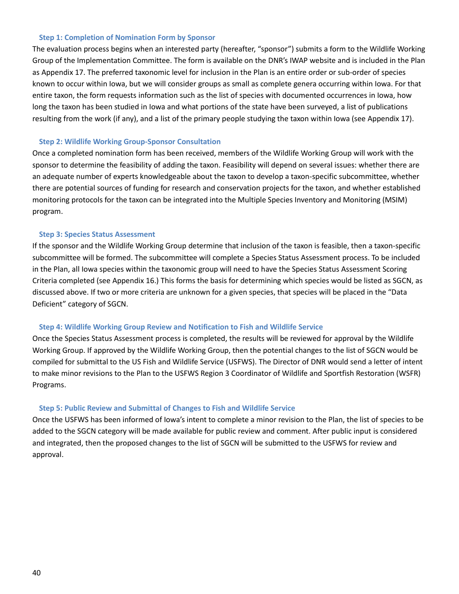#### **Step 1: Completion of Nomination Form by Sponsor**

The evaluation process begins when an interested party (hereafter, "sponsor") submits a form to the Wildlife Working Group of the Implementation Committee. The form is available on the DNR's IWAP website and is included in the Plan as Appendix 17. The preferred taxonomic level for inclusion in the Plan is an entire order or sub-order of species known to occur within Iowa, but we will consider groups as small as complete genera occurring within Iowa. For that entire taxon, the form requests information such as the list of species with documented occurrences in Iowa, how long the taxon has been studied in Iowa and what portions of the state have been surveyed, a list of publications resulting from the work (if any), and a list of the primary people studying the taxon within Iowa (see Appendix 17).

#### **Step 2: Wildlife Working Group-Sponsor Consultation**

Once a completed nomination form has been received, members of the Wildlife Working Group will work with the sponsor to determine the feasibility of adding the taxon. Feasibility will depend on several issues: whether there are an adequate number of experts knowledgeable about the taxon to develop a taxon-specific subcommittee, whether there are potential sources of funding for research and conservation projects for the taxon, and whether established monitoring protocols for the taxon can be integrated into the Multiple Species Inventory and Monitoring (MSIM) program.

#### **Step 3: Species Status Assessment**

If the sponsor and the Wildlife Working Group determine that inclusion of the taxon is feasible, then a taxon-specific subcommittee will be formed. The subcommittee will complete a Species Status Assessment process. To be included in the Plan, all Iowa species within the taxonomic group will need to have the Species Status Assessment Scoring Criteria completed (see Appendix 16.) This forms the basis for determining which species would be listed as SGCN, as discussed above. If two or more criteria are unknown for a given species, that species will be placed in the "Data Deficient" category of SGCN.

#### **Step 4: Wildlife Working Group Review and Notification to Fish and Wildlife Service**

Once the Species Status Assessment process is completed, the results will be reviewed for approval by the Wildlife Working Group. If approved by the Wildlife Working Group, then the potential changes to the list of SGCN would be compiled for submittal to the US Fish and Wildlife Service (USFWS). The Director of DNR would send a letter of intent to make minor revisions to the Plan to the USFWS Region 3 Coordinator of Wildlife and Sportfish Restoration (WSFR) Programs.

#### **Step 5: Public Review and Submittal of Changes to Fish and Wildlife Service**

Once the USFWS has been informed of Iowa's intent to complete a minor revision to the Plan, the list of species to be added to the SGCN category will be made available for public review and comment. After public input is considered and integrated, then the proposed changes to the list of SGCN will be submitted to the USFWS for review and approval.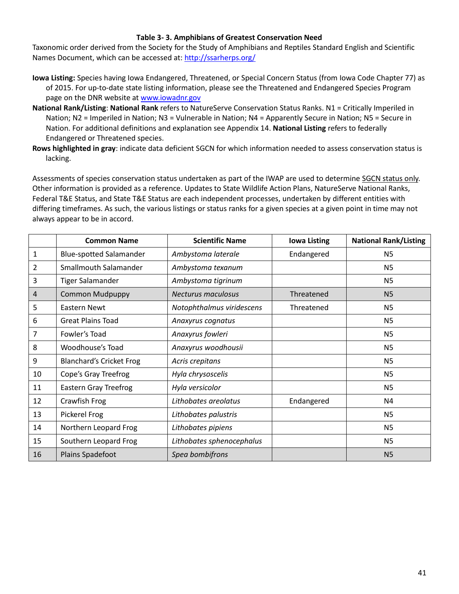### **Table 3- 3. Amphibians of Greatest Conservation Need**

Taxonomic order derived from the Society for the Study of Amphibians and Reptiles Standard English and Scientific Names Document, which can be accessed at: <http://ssarherps.org/>

- **Iowa Listing:** Species having Iowa Endangered, Threatened, or Special Concern Status (from Iowa Code Chapter 77) as of 2015. For up-to-date state listing information, please see the Threatened and Endangered Species Program page on the DNR website at [www.iowadnr.gov](http://www.iowadnr.gov/)
- **National Rank/Listing**: **National Rank** refers to NatureServe Conservation Status Ranks. N1 = Critically Imperiled in Nation; N2 = Imperiled in Nation; N3 = Vulnerable in Nation; N4 = Apparently Secure in Nation; N5 = Secure in Nation. For additional definitions and explanation see Appendix 14. **National Listing** refers to federally Endangered or Threatened species.
- **Rows highlighted in gray**: indicate data deficient SGCN for which information needed to assess conservation status is lacking.

|                | <b>Common Name</b>              | <b>Scientific Name</b>    | <b>Iowa Listing</b> | <b>National Rank/Listing</b> |
|----------------|---------------------------------|---------------------------|---------------------|------------------------------|
| $\mathbf{1}$   | <b>Blue-spotted Salamander</b>  | Ambystoma laterale        | Endangered          | N <sub>5</sub>               |
| $\overline{2}$ | Smallmouth Salamander           | Ambystoma texanum         |                     | N <sub>5</sub>               |
| 3              | <b>Tiger Salamander</b>         | Ambystoma tigrinum        |                     | N <sub>5</sub>               |
| $\overline{a}$ | <b>Common Mudpuppy</b>          | <b>Necturus maculosus</b> | Threatened          | N <sub>5</sub>               |
| 5              | Eastern Newt                    | Notophthalmus viridescens | Threatened          | N <sub>5</sub>               |
| 6              | <b>Great Plains Toad</b>        | Anaxyrus cognatus         |                     | N <sub>5</sub>               |
| $\overline{7}$ | Fowler's Toad                   | Anaxyrus fowleri          |                     | N <sub>5</sub>               |
| 8              | Woodhouse's Toad                | Anaxyrus woodhousii       |                     | N <sub>5</sub>               |
| 9              | <b>Blanchard's Cricket Frog</b> | Acris crepitans           |                     | N <sub>5</sub>               |
| 10             | Cope's Gray Treefrog            | Hyla chrysoscelis         |                     | N <sub>5</sub>               |
| 11             | <b>Eastern Gray Treefrog</b>    | Hyla versicolor           |                     | N <sub>5</sub>               |
| 12             | Crawfish Frog                   | Lithobates areolatus      | Endangered          | N4                           |
| 13             | Pickerel Frog                   | Lithobates palustris      |                     | N <sub>5</sub>               |
| 14             | Northern Leopard Frog           | Lithobates pipiens        |                     | N <sub>5</sub>               |
| 15             | Southern Leopard Frog           | Lithobates sphenocephalus |                     | N <sub>5</sub>               |
| 16             | Plains Spadefoot                | Spea bombifrons           |                     | N <sub>5</sub>               |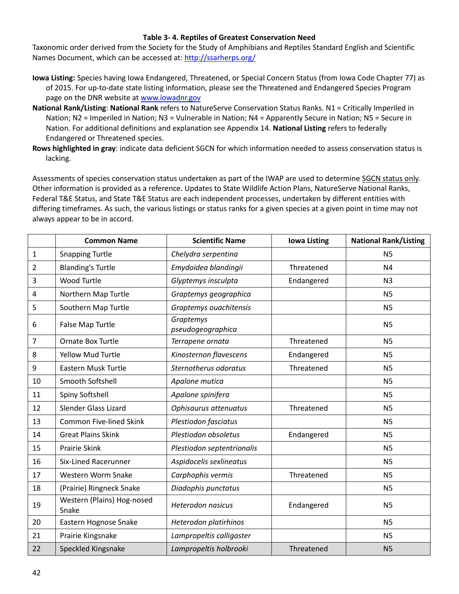### **Table 3- 4. Reptiles of Greatest Conservation Need**

Taxonomic order derived from the Society for the Study of Amphibians and Reptiles Standard English and Scientific Names Document, which can be accessed at: <http://ssarherps.org/>

- **Iowa Listing:** Species having Iowa Endangered, Threatened, or Special Concern Status (from Iowa Code Chapter 77) as of 2015. For up-to-date state listing information, please see the Threatened and Endangered Species Program page on the DNR website at [www.iowadnr.gov](http://www.iowadnr.gov/)
- **National Rank/Listing**: **National Rank** refers to NatureServe Conservation Status Ranks. N1 = Critically Imperiled in Nation; N2 = Imperiled in Nation; N3 = Vulnerable in Nation; N4 = Apparently Secure in Nation; N5 = Secure in Nation. For additional definitions and explanation see Appendix 14. **National Listing** refers to federally Endangered or Threatened species.
- **Rows highlighted in gray**: indicate data deficient SGCN for which information needed to assess conservation status is lacking.

|                         | <b>Common Name</b>                  | <b>Scientific Name</b>         | <b>Iowa Listing</b> | <b>National Rank/Listing</b> |
|-------------------------|-------------------------------------|--------------------------------|---------------------|------------------------------|
| $\mathbf 1$             | <b>Snapping Turtle</b>              | Chelydra serpentina            |                     | <b>N5</b>                    |
| $\overline{2}$          | <b>Blanding's Turtle</b>            | Emydoidea blandingii           | Threatened          | N <sub>4</sub>               |
| 3                       | <b>Wood Turtle</b>                  | Glyptemys insculpta            | Endangered          | N <sub>3</sub>               |
| $\overline{\mathbf{4}}$ | Northern Map Turtle                 | Graptemys geographica          |                     | <b>N5</b>                    |
| 5                       | Southern Map Turtle                 | Graptemys ouachitensis         |                     | N <sub>5</sub>               |
| 6                       | False Map Turtle                    | Graptemys<br>pseudogeographica |                     | N <sub>5</sub>               |
| $\overline{7}$          | Ornate Box Turtle                   | Terrapene ornata               | Threatened          | <b>N5</b>                    |
| 8                       | <b>Yellow Mud Turtle</b>            | Kinosternon flavescens         | Endangered          | N <sub>5</sub>               |
| 9                       | Eastern Musk Turtle                 | Sternotherus odoratus          | Threatened          | N <sub>5</sub>               |
| 10                      | Smooth Softshell                    | Apalone mutica                 |                     | N <sub>5</sub>               |
| 11                      | Spiny Softshell                     | Apalone spinifera              |                     | N <sub>5</sub>               |
| 12                      | Slender Glass Lizard                | Ophisaurus attenuatus          | Threatened          | <b>N5</b>                    |
| 13                      | <b>Common Five-lined Skink</b>      | Plestiodon fasciatus           |                     | N <sub>5</sub>               |
| 14                      | <b>Great Plains Skink</b>           | Plestiodon obsoletus           | Endangered          | <b>N5</b>                    |
| 15                      | <b>Prairie Skink</b>                | Plestiodon septentrionalis     |                     | N <sub>5</sub>               |
| 16                      | Six-Lined Racerunner                | Aspidocelis sexlineatus        |                     | <b>N5</b>                    |
| 17                      | Western Worm Snake                  | Carphophis vermis              | Threatened          | <b>N5</b>                    |
| 18                      | (Prairie) Ringneck Snake            | Diadophis punctatus            |                     | <b>N5</b>                    |
| 19                      | Western (Plains) Hog-nosed<br>Snake | <b>Heterodon nasicus</b>       | Endangered          | <b>N5</b>                    |
| 20                      | Eastern Hognose Snake               | Heterodon platirhinos          |                     | <b>N5</b>                    |
| 21                      | Prairie Kingsnake                   | Lampropeltis calligaster       |                     | <b>N5</b>                    |
| 22                      | Speckled Kingsnake                  | Lampropeltis holbrooki         | Threatened          | N <sub>5</sub>               |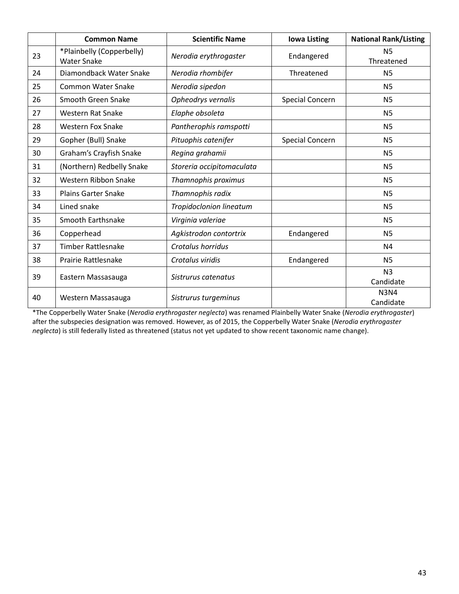|    | <b>Common Name</b>                              | <b>Scientific Name</b>    | <b>Iowa Listing</b>    | <b>National Rank/Listing</b> |
|----|-------------------------------------------------|---------------------------|------------------------|------------------------------|
| 23 | *Plainbelly (Copperbelly)<br><b>Water Snake</b> | Nerodia erythrogaster     | Endangered             | <b>N5</b><br>Threatened      |
| 24 | Diamondback Water Snake                         | Nerodia rhombifer         | Threatened             | N <sub>5</sub>               |
| 25 | <b>Common Water Snake</b>                       | Nerodia sipedon           |                        | <b>N5</b>                    |
| 26 | Smooth Green Snake                              | Opheodrys vernalis        | Special Concern        | <b>N5</b>                    |
| 27 | <b>Western Rat Snake</b>                        | Elaphe obsoleta           |                        | N <sub>5</sub>               |
| 28 | Western Fox Snake                               | Pantherophis ramspotti    |                        | N <sub>5</sub>               |
| 29 | Gopher (Bull) Snake                             | Pituophis catenifer       | <b>Special Concern</b> | <b>N5</b>                    |
| 30 | Graham's Crayfish Snake                         | Regina grahamii           |                        | <b>N5</b>                    |
| 31 | (Northern) Redbelly Snake                       | Storeria occipitomaculata |                        | N <sub>5</sub>               |
| 32 | Western Ribbon Snake                            | Thamnophis proximus       |                        | <b>N5</b>                    |
| 33 | <b>Plains Garter Snake</b>                      | Thamnophis radix          |                        | <b>N5</b>                    |
| 34 | Lined snake                                     | Tropidoclonion lineatum   |                        | N <sub>5</sub>               |
| 35 | Smooth Earthsnake                               | Virginia valeriae         |                        | N <sub>5</sub>               |
| 36 | Copperhead                                      | Agkistrodon contortrix    | Endangered             | <b>N5</b>                    |
| 37 | <b>Timber Rattlesnake</b>                       | Crotalus horridus         |                        | N <sub>4</sub>               |
| 38 | Prairie Rattlesnake                             | Crotalus viridis          | Endangered             | <b>N5</b>                    |
| 39 | Eastern Massasauga                              | Sistrurus catenatus       |                        | N <sub>3</sub><br>Candidate  |
| 40 | Western Massasauga                              | Sistrurus turgeminus      |                        | <b>N3N4</b><br>Candidate     |

\*The Copperbelly Water Snake (*Nerodia erythrogaster neglecta*) was renamed Plainbelly Water Snake (*Nerodia erythrogaster*) after the subspecies designation was removed. However, as of 2015, the Copperbelly Water Snake (*Nerodia erythrogaster neglecta*) is still federally listed as threatened (status not yet updated to show recent taxonomic name change).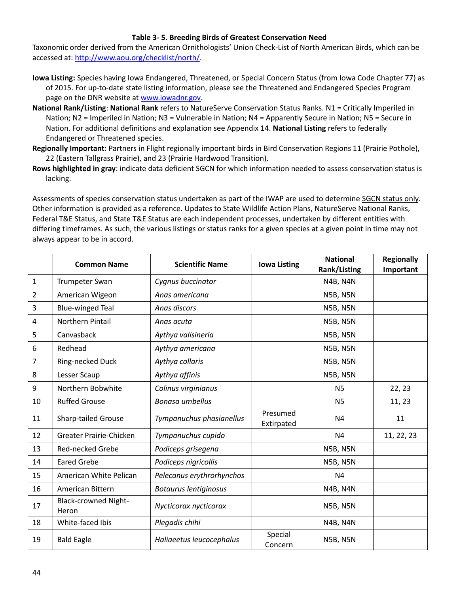### **Table 3- 5. Breeding Birds of Greatest Conservation Need**

Taxonomic order derived from the American Ornithologists' Union Check-List of North American Birds, which can be accessed at: [http://www.aou.org/checklist/north/.](http://www.aou.org/checklist/north/)

- **Iowa Listing:** Species having Iowa Endangered, Threatened, or Special Concern Status (from Iowa Code Chapter 77) as of 2015. For up-to-date state listing information, please see the Threatened and Endangered Species Program page on the DNR website at [www.iowadnr.gov.](http://www.iowadnr.gov/)
- **National Rank/Listing**: **National Rank** refers to NatureServe Conservation Status Ranks. N1 = Critically Imperiled in Nation; N2 = Imperiled in Nation; N3 = Vulnerable in Nation; N4 = Apparently Secure in Nation; N5 = Secure in Nation. For additional definitions and explanation see Appendix 14. **National Listing** refers to federally Endangered or Threatened species.
- **Regionally Important**: Partners in Flight regionally important birds in Bird Conservation Regions 11 (Prairie Pothole), 22 (Eastern Tallgrass Prairie), and 23 (Prairie Hardwood Transition).
- **Rows highlighted in gray**: indicate data deficient SGCN for which information needed to assess conservation status is lacking.

|                | <b>Common Name</b>                   | <b>Scientific Name</b>       | <b>Iowa Listing</b>    | <b>National</b><br>Rank/Listing | <b>Regionally</b><br>Important |
|----------------|--------------------------------------|------------------------------|------------------------|---------------------------------|--------------------------------|
| $\mathbf{1}$   | Trumpeter Swan                       | Cygnus buccinator            |                        | <b>N4B, N4N</b>                 |                                |
| $\overline{2}$ | American Wigeon                      | Anas americana               |                        | <b>N5B, N5N</b>                 |                                |
| 3              | <b>Blue-winged Teal</b>              | Anas discors                 |                        | <b>N5B, N5N</b>                 |                                |
| 4              | Northern Pintail                     | Anas acuta                   |                        | <b>N5B, N5N</b>                 |                                |
| 5              | Canvasback                           | Aythya valisineria           |                        | <b>N5B, N5N</b>                 |                                |
| 6              | Redhead                              | Aythya americana             |                        | <b>N5B, N5N</b>                 |                                |
| 7              | Ring-necked Duck                     | Aythya collaris              |                        | <b>N5B, N5N</b>                 |                                |
| 8              | Lesser Scaup                         | Aythya affinis               |                        | <b>N5B, N5N</b>                 |                                |
| $9\,$          | Northern Bobwhite                    | Colinus virginianus          |                        | <b>N5</b>                       | 22, 23                         |
| 10             | <b>Ruffed Grouse</b>                 | Bonasa umbellus              |                        | <b>N5</b>                       | 11, 23                         |
| 11             | <b>Sharp-tailed Grouse</b>           | Tympanuchus phasianellus     | Presumed<br>Extirpated | N4                              | 11                             |
| 12             | Greater Prairie-Chicken              | Tympanuchus cupido           |                        | N <sub>4</sub>                  | 11, 22, 23                     |
| 13             | <b>Red-necked Grebe</b>              | Podiceps grisegena           |                        | <b>N5B, N5N</b>                 |                                |
| 14             | <b>Eared Grebe</b>                   | Podiceps nigricollis         |                        | <b>N5B, N5N</b>                 |                                |
| 15             | American White Pelican               | Pelecanus erythrorhynchos    |                        | N <sub>4</sub>                  |                                |
| 16             | American Bittern                     | <b>Botaurus lentiginosus</b> |                        | <b>N4B, N4N</b>                 |                                |
| 17             | <b>Black-crowned Night-</b><br>Heron | Nycticorax nycticorax        |                        | <b>N5B, N5N</b>                 |                                |
| 18             | White-faced Ibis                     | Plegadis chihi               |                        | <b>N4B, N4N</b>                 |                                |
| 19             | <b>Bald Eagle</b>                    | Haliaeetus leucocephalus     | Special<br>Concern     | <b>N5B, N5N</b>                 |                                |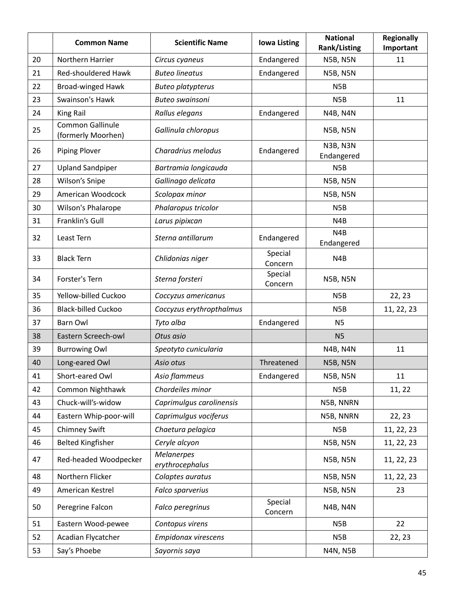|    | <b>Common Name</b>                     | <b>Scientific Name</b>               | <b>Iowa Listing</b> | <b>National</b><br><b>Rank/Listing</b> | <b>Regionally</b><br>Important |
|----|----------------------------------------|--------------------------------------|---------------------|----------------------------------------|--------------------------------|
| 20 | Northern Harrier                       | Circus cyaneus                       | Endangered          | <b>N5B, N5N</b>                        | 11                             |
| 21 | Red-shouldered Hawk                    | <b>Buteo lineatus</b>                | Endangered          | <b>N5B, N5N</b>                        |                                |
| 22 | <b>Broad-winged Hawk</b>               | <b>Buteo platypterus</b>             |                     | N <sub>5</sub> B                       |                                |
| 23 | Swainson's Hawk                        | <b>Buteo swainsoni</b>               |                     | N <sub>5</sub> B                       | 11                             |
| 24 | <b>King Rail</b>                       | Rallus elegans                       | Endangered          | <b>N4B, N4N</b>                        |                                |
| 25 | Common Gallinule<br>(formerly Moorhen) | Gallinula chloropus                  |                     | <b>N5B, N5N</b>                        |                                |
| 26 | <b>Piping Plover</b>                   | Charadrius melodus                   | Endangered          | <b>N3B, N3N</b><br>Endangered          |                                |
| 27 | <b>Upland Sandpiper</b>                | Bartramia longicauda                 |                     | N <sub>5</sub> B                       |                                |
| 28 | Wilson's Snipe                         | Gallinago delicata                   |                     | <b>N5B, N5N</b>                        |                                |
| 29 | American Woodcock                      | Scolopax minor                       |                     | <b>N5B, N5N</b>                        |                                |
| 30 | Wilson's Phalarope                     | Phalaropus tricolor                  |                     | N <sub>5</sub> B                       |                                |
| 31 | Franklin's Gull                        | Larus pipixcan                       |                     | N4B                                    |                                |
| 32 | Least Tern                             | Sterna antillarum                    | Endangered          | N <sub>4</sub> B<br>Endangered         |                                |
| 33 | <b>Black Tern</b>                      | Chlidonias niger                     | Special<br>Concern  | N4B                                    |                                |
| 34 | Forster's Tern                         | Sterna forsteri                      | Special<br>Concern  | <b>N5B, N5N</b>                        |                                |
| 35 | Yellow-billed Cuckoo                   | Coccyzus americanus                  |                     | N <sub>5</sub> B                       | 22, 23                         |
| 36 | <b>Black-billed Cuckoo</b>             | Coccyzus erythropthalmus             |                     | N <sub>5</sub> B                       | 11, 22, 23                     |
| 37 | <b>Barn Owl</b>                        | Tyto alba                            | Endangered          | <b>N5</b>                              |                                |
| 38 | Eastern Screech-owl                    | Otus asio                            |                     | <b>N5</b>                              |                                |
| 39 | <b>Burrowing Owl</b>                   | Speotyto cunicularia                 |                     | <b>N4B, N4N</b>                        | 11                             |
| 40 | Long-eared Owl                         | Asio otus                            | Threatened          | <b>N5B, N5N</b>                        |                                |
| 41 | Short-eared Owl                        | Asio flammeus                        | Endangered          | <b>N5B, N5N</b>                        | 11                             |
| 42 | Common Nighthawk                       | Chordeiles minor                     |                     | N <sub>5</sub> B                       | 11, 22                         |
| 43 | Chuck-will's-widow                     | Caprimulgus carolinensis             |                     | N5B, NNRN                              |                                |
| 44 | Eastern Whip-poor-will                 | Caprimulgus vociferus                |                     | N5B, NNRN                              | 22, 23                         |
| 45 | <b>Chimney Swift</b>                   | Chaetura pelagica                    |                     | N <sub>5</sub> B                       | 11, 22, 23                     |
| 46 | <b>Belted Kingfisher</b>               | Ceryle alcyon                        |                     | <b>N5B, N5N</b>                        | 11, 22, 23                     |
| 47 | Red-headed Woodpecker                  | <b>Melanerpes</b><br>erythrocephalus |                     | <b>N5B, N5N</b>                        | 11, 22, 23                     |
| 48 | Northern Flicker                       | Colaptes auratus                     |                     | <b>N5B, N5N</b>                        | 11, 22, 23                     |
| 49 | American Kestrel                       | Falco sparverius                     |                     | <b>N5B, N5N</b>                        | 23                             |
| 50 | Peregrine Falcon                       | Falco peregrinus                     | Special<br>Concern  | <b>N4B, N4N</b>                        |                                |
| 51 | Eastern Wood-pewee                     | Contopus virens                      |                     | N <sub>5</sub> B                       | 22                             |
| 52 | Acadian Flycatcher                     | Empidonax virescens                  |                     | N <sub>5</sub> B                       | 22, 23                         |
| 53 | Say's Phoebe                           | Sayornis saya                        |                     | <b>N4N, N5B</b>                        |                                |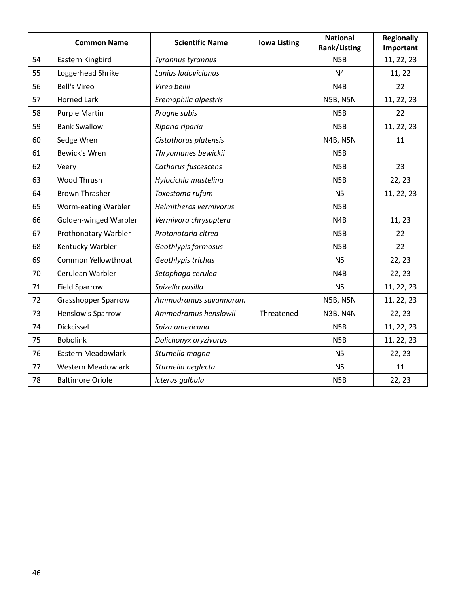|    | <b>Common Name</b>         | <b>Scientific Name</b> | <b>Iowa Listing</b> | <b>National</b><br>Rank/Listing | <b>Regionally</b><br>Important |
|----|----------------------------|------------------------|---------------------|---------------------------------|--------------------------------|
| 54 | Eastern Kingbird           | Tyrannus tyrannus      |                     | N <sub>5</sub> B                | 11, 22, 23                     |
| 55 | Loggerhead Shrike          | Lanius ludovicianus    |                     | N <sub>4</sub>                  | 11, 22                         |
| 56 | <b>Bell's Vireo</b>        | Vireo bellii           |                     | N <sub>4</sub> B                | 22                             |
| 57 | <b>Horned Lark</b>         | Eremophila alpestris   |                     | <b>N5B, N5N</b>                 | 11, 22, 23                     |
| 58 | <b>Purple Martin</b>       | Progne subis           |                     | N <sub>5</sub> B                | 22                             |
| 59 | <b>Bank Swallow</b>        | Riparia riparia        |                     | N <sub>5</sub> B                | 11, 22, 23                     |
| 60 | Sedge Wren                 | Cistothorus platensis  |                     | <b>N4B, N5N</b>                 | 11                             |
| 61 | Bewick's Wren              | Thryomanes bewickii    |                     | N <sub>5</sub> B                |                                |
| 62 | Veery                      | Catharus fuscescens    |                     | N <sub>5</sub> B                | 23                             |
| 63 | Wood Thrush                | Hylocichla mustelina   |                     | N <sub>5</sub> B                | 22, 23                         |
| 64 | <b>Brown Thrasher</b>      | Toxostoma rufum        |                     | <b>N5</b>                       | 11, 22, 23                     |
| 65 | Worm-eating Warbler        | Helmitheros vermivorus |                     | N <sub>5</sub> B                |                                |
| 66 | Golden-winged Warbler      | Vermivora chrysoptera  |                     | N <sub>4</sub> B                | 11, 23                         |
| 67 | Prothonotary Warbler       | Protonotaria citrea    |                     | N <sub>5</sub> B                | 22                             |
| 68 | Kentucky Warbler           | Geothlypis formosus    |                     | N <sub>5</sub> B                | 22                             |
| 69 | Common Yellowthroat        | Geothlypis trichas     |                     | <b>N5</b>                       | 22, 23                         |
| 70 | Cerulean Warbler           | Setophaga cerulea      |                     | N4B                             | 22, 23                         |
| 71 | <b>Field Sparrow</b>       | Spizella pusilla       |                     | <b>N5</b>                       | 11, 22, 23                     |
| 72 | <b>Grasshopper Sparrow</b> | Ammodramus savannarum  |                     | <b>N5B, N5N</b>                 | 11, 22, 23                     |
| 73 | Henslow's Sparrow          | Ammodramus henslowii   | Threatened          | <b>N3B, N4N</b>                 | 22, 23                         |
| 74 | Dickcissel                 | Spiza americana        |                     | N <sub>5</sub> B                | 11, 22, 23                     |
| 75 | <b>Bobolink</b>            | Dolichonyx oryzivorus  |                     | N <sub>5</sub> B                | 11, 22, 23                     |
| 76 | Eastern Meadowlark         | Sturnella magna        |                     | <b>N5</b>                       | 22, 23                         |
| 77 | Western Meadowlark         | Sturnella neglecta     |                     | <b>N5</b>                       | 11                             |
| 78 | <b>Baltimore Oriole</b>    | Icterus galbula        |                     | N <sub>5</sub> B                | 22, 23                         |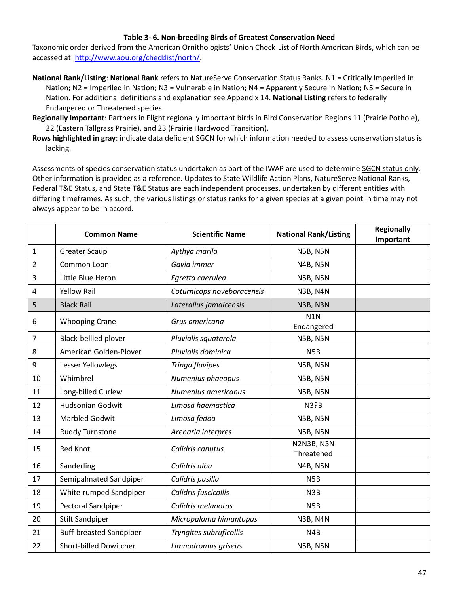### **Table 3- 6. Non-breeding Birds of Greatest Conservation Need**

Taxonomic order derived from the American Ornithologists' Union Check-List of North American Birds, which can be accessed at: [http://www.aou.org/checklist/north/.](http://www.aou.org/checklist/north/)

- **National Rank/Listing**: **National Rank** refers to NatureServe Conservation Status Ranks. N1 = Critically Imperiled in Nation; N2 = Imperiled in Nation; N3 = Vulnerable in Nation; N4 = Apparently Secure in Nation; N5 = Secure in Nation. For additional definitions and explanation see Appendix 14. **National Listing** refers to federally Endangered or Threatened species.
- **Regionally Important**: Partners in Flight regionally important birds in Bird Conservation Regions 11 (Prairie Pothole), 22 (Eastern Tallgrass Prairie), and 23 (Prairie Hardwood Transition).
- **Rows highlighted in gray**: indicate data deficient SGCN for which information needed to assess conservation status is lacking.

|                | <b>Common Name</b>             | <b>Scientific Name</b>     | <b>National Rank/Listing</b>   | <b>Regionally</b><br>Important |
|----------------|--------------------------------|----------------------------|--------------------------------|--------------------------------|
| $\mathbf{1}$   | <b>Greater Scaup</b>           | Aythya marila              | <b>N5B, N5N</b>                |                                |
| 2              | Common Loon                    | Gavia immer                | <b>N4B, N5N</b>                |                                |
| 3              | Little Blue Heron              | Egretta caerulea           | <b>N5B, N5N</b>                |                                |
| 4              | <b>Yellow Rail</b>             | Coturnicops noveboracensis | N3B, N4N                       |                                |
| 5              | <b>Black Rail</b>              | Laterallus jamaicensis     | <b>N3B, N3N</b>                |                                |
| 6              | <b>Whooping Crane</b>          | Grus americana             | N <sub>1</sub> N<br>Endangered |                                |
| $\overline{7}$ | Black-bellied plover           | Pluvialis squatarola       | <b>N5B, N5N</b>                |                                |
| 8              | American Golden-Plover         | Pluvialis dominica         | N <sub>5</sub> B               |                                |
| 9              | Lesser Yellowlegs              | Tringa flavipes            | <b>N5B, N5N</b>                |                                |
| 10             | Whimbrel                       | Numenius phaeopus          | <b>N5B, N5N</b>                |                                |
| 11             | Long-billed Curlew             | Numenius americanus        | <b>N5B, N5N</b>                |                                |
| 12             | <b>Hudsonian Godwit</b>        | Limosa haemastica          | <b>N3?B</b>                    |                                |
| 13             | <b>Marbled Godwit</b>          | Limosa fedoa               | <b>N5B, N5N</b>                |                                |
| 14             | Ruddy Turnstone                | Arenaria interpres         | <b>N5B, N5N</b>                |                                |
| 15             | <b>Red Knot</b>                | Calidris canutus           | N2N3B, N3N<br>Threatened       |                                |
| 16             | Sanderling                     | Calidris alba              | <b>N4B, N5N</b>                |                                |
| 17             | Semipalmated Sandpiper         | Calidris pusilla           | N <sub>5</sub> B               |                                |
| 18             | White-rumped Sandpiper         | Calidris fuscicollis       | N3B                            |                                |
| 19             | Pectoral Sandpiper             | Calidris melanotos         | N <sub>5</sub> B               |                                |
| 20             | <b>Stilt Sandpiper</b>         | Micropalama himantopus     | <b>N3B, N4N</b>                |                                |
| 21             | <b>Buff-breasted Sandpiper</b> | Tryngites subruficollis    | N4B                            |                                |
| 22             | Short-billed Dowitcher         | Limnodromus griseus        | <b>N5B, N5N</b>                |                                |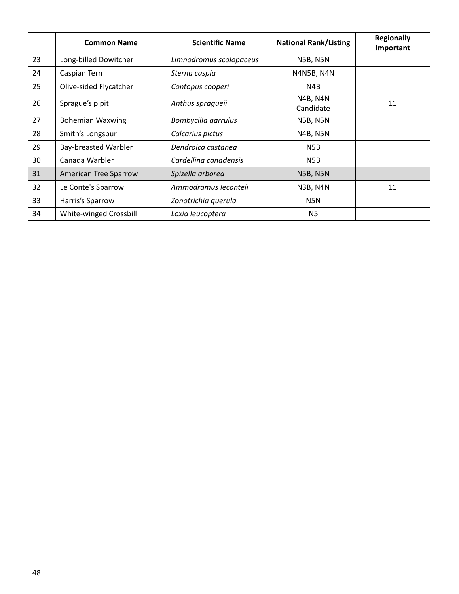|    | <b>Common Name</b>          | <b>Scientific Name</b>  | <b>National Rank/Listing</b> | <b>Regionally</b><br>Important |
|----|-----------------------------|-------------------------|------------------------------|--------------------------------|
| 23 | Long-billed Dowitcher       | Limnodromus scolopaceus | <b>N5B, N5N</b>              |                                |
| 24 | Caspian Tern                | Sterna caspia           | N4N5B, N4N                   |                                |
| 25 | Olive-sided Flycatcher      | Contopus cooperi        | N4B                          |                                |
| 26 | Sprague's pipit             | Anthus spragueii        | <b>N4B, N4N</b><br>Candidate | 11                             |
| 27 | <b>Bohemian Waxwing</b>     | Bombycilla garrulus     | <b>N5B, N5N</b>              |                                |
| 28 | Smith's Longspur            | Calcarius pictus        | <b>N4B, N5N</b>              |                                |
| 29 | <b>Bay-breasted Warbler</b> | Dendroica castanea      | N5B                          |                                |
| 30 | Canada Warbler              | Cardellina canadensis   | N <sub>5</sub> B             |                                |
| 31 | American Tree Sparrow       | Spizella arborea        | <b>N5B, N5N</b>              |                                |
| 32 | Le Conte's Sparrow          | Ammodramus leconteii    | <b>N3B, N4N</b>              | 11                             |
| 33 | Harris's Sparrow            | Zonotrichia querula     | N5N                          |                                |
| 34 | White-winged Crossbill      | Loxia leucoptera        | <b>N5</b>                    |                                |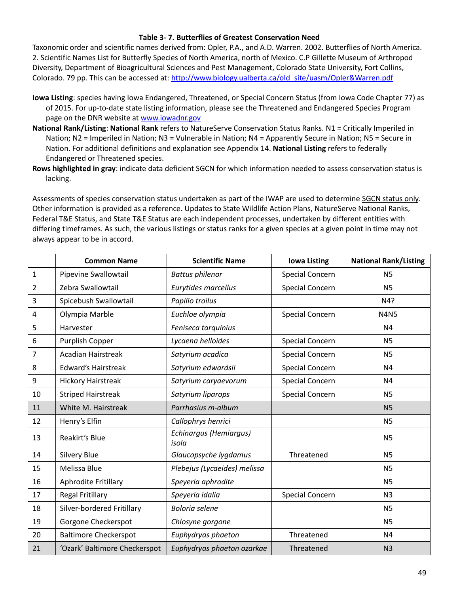#### **Table 3- 7. Butterflies of Greatest Conservation Need**

Taxonomic order and scientific names derived from: Opler, P.A., and A.D. Warren. 2002. Butterflies of North America. 2. Scientific Names List for Butterfly Species of North America, north of Mexico. C.P Gillette Museum of Arthropod Diversity, Department of Bioagricultural Sciences and Pest Management, Colorado State University, Fort Collins, Colorado. 79 pp. This can be accessed at: http://www.biology.ualberta.ca/old site/uasm/Opler&Warren.pdf

- **Iowa Listing**: species having Iowa Endangered, Threatened, or Special Concern Status (from Iowa Code Chapter 77) as of 2015. For up-to-date state listing information, please see the Threatened and Endangered Species Program page on the DNR website at [www.iowadnr.gov](http://www.iowadnr.gov/)
- **National Rank/Listing**: **National Rank** refers to NatureServe Conservation Status Ranks. N1 = Critically Imperiled in Nation; N2 = Imperiled in Nation; N3 = Vulnerable in Nation; N4 = Apparently Secure in Nation; N5 = Secure in Nation. For additional definitions and explanation see Appendix 14. **National Listing** refers to federally Endangered or Threatened species.
- **Rows highlighted in gray**: indicate data deficient SGCN for which information needed to assess conservation status is lacking.

|                | <b>Common Name</b>            | <b>Scientific Name</b>          | <b>Iowa Listing</b>    | <b>National Rank/Listing</b> |
|----------------|-------------------------------|---------------------------------|------------------------|------------------------------|
| $1\,$          | Pipevine Swallowtail          | <b>Battus philenor</b>          | <b>Special Concern</b> | <b>N5</b>                    |
| $\overline{2}$ | Zebra Swallowtail             | Eurytides marcellus             | <b>Special Concern</b> | <b>N5</b>                    |
| 3              | Spicebush Swallowtail         | Papilio troilus                 |                        | N4?                          |
| 4              | Olympia Marble                | Euchloe olympia                 | <b>Special Concern</b> | <b>N4N5</b>                  |
| 5              | Harvester                     | Feniseca tarquinius             |                        | N <sub>4</sub>               |
| 6              | Purplish Copper               | Lycaena helloides               | <b>Special Concern</b> | <b>N5</b>                    |
| 7              | <b>Acadian Hairstreak</b>     | Satyrium acadica                | <b>Special Concern</b> | <b>N5</b>                    |
| 8              | <b>Edward's Hairstreak</b>    | Satyrium edwardsii              | <b>Special Concern</b> | N <sub>4</sub>               |
| 9              | <b>Hickory Hairstreak</b>     | Satyrium caryaevorum            | <b>Special Concern</b> | N <sub>4</sub>               |
| 10             | <b>Striped Hairstreak</b>     | Satyrium liparops               | <b>Special Concern</b> | <b>N5</b>                    |
| 11             | White M. Hairstreak           | Parrhasius m-album              |                        | <b>N5</b>                    |
| 12             | Henry's Elfin                 | Callophrys henrici              |                        | <b>N5</b>                    |
| 13             | Reakirt's Blue                | Echinargus (Hemiargus)<br>isola |                        | <b>N5</b>                    |
| 14             | <b>Silvery Blue</b>           | Glaucopsyche lygdamus           | Threatened             | <b>N5</b>                    |
| 15             | Melissa Blue                  | Plebejus (Lycaeides) melissa    |                        | <b>N5</b>                    |
| 16             | Aphrodite Fritillary          | Speyeria aphrodite              |                        | <b>N5</b>                    |
| 17             | <b>Regal Fritillary</b>       | Speyeria idalia                 | <b>Special Concern</b> | N <sub>3</sub>               |
| 18             | Silver-bordered Fritillary    | <b>Boloria</b> selene           |                        | <b>N5</b>                    |
| 19             | Gorgone Checkerspot           | Chlosyne gorgone                |                        | <b>N5</b>                    |
| 20             | <b>Baltimore Checkerspot</b>  | Euphydryas phaeton              | Threatened             | N <sub>4</sub>               |
| 21             | 'Ozark' Baltimore Checkerspot | Euphydryas phaeton ozarkae      | Threatened             | N <sub>3</sub>               |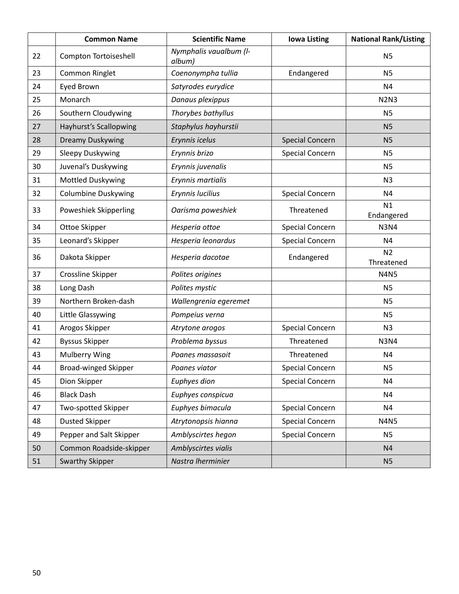|    | <b>Common Name</b>          | <b>Scientific Name</b>           | <b>Iowa Listing</b>    | <b>National Rank/Listing</b> |
|----|-----------------------------|----------------------------------|------------------------|------------------------------|
| 22 | Compton Tortoiseshell       | Nymphalis vaualbum (I-<br>album) |                        | N <sub>5</sub>               |
| 23 | Common Ringlet              | Coenonympha tullia               | Endangered             | <b>N5</b>                    |
| 24 | Eyed Brown                  | Satyrodes eurydice               |                        | N4                           |
| 25 | Monarch                     | Danaus plexippus                 |                        | <b>N2N3</b>                  |
| 26 | Southern Cloudywing         | Thorybes bathyllus               |                        | <b>N5</b>                    |
| 27 | Hayhurst's Scallopwing      | Staphylus hayhurstii             |                        | <b>N5</b>                    |
| 28 | <b>Dreamy Duskywing</b>     | Erynnis icelus                   | <b>Special Concern</b> | <b>N5</b>                    |
| 29 | <b>Sleepy Duskywing</b>     | Erynnis brizo                    | <b>Special Concern</b> | <b>N5</b>                    |
| 30 | Juvenal's Duskywing         | Erynnis juvenalis                |                        | N <sub>5</sub>               |
| 31 | <b>Mottled Duskywing</b>    | Erynnis martialis                |                        | N <sub>3</sub>               |
| 32 | <b>Columbine Duskywing</b>  | Erynnis lucilius                 | <b>Special Concern</b> | N4                           |
| 33 | Poweshiek Skipperling       | Oarisma poweshiek                | Threatened             | N1<br>Endangered             |
| 34 | Ottoe Skipper               | Hesperia ottoe                   | <b>Special Concern</b> | <b>N3N4</b>                  |
| 35 | Leonard's Skipper           | Hesperia leonardus               | <b>Special Concern</b> | N4                           |
| 36 | Dakota Skipper              | Hesperia dacotae                 | Endangered             | N <sub>2</sub><br>Threatened |
| 37 | Crossline Skipper           | Polites origines                 |                        | <b>N4N5</b>                  |
| 38 | Long Dash                   | Polites mystic                   |                        | N <sub>5</sub>               |
| 39 | Northern Broken-dash        | Wallengrenia egeremet            |                        | N <sub>5</sub>               |
| 40 | Little Glassywing           | Pompeius verna                   |                        | N <sub>5</sub>               |
| 41 | Arogos Skipper              | Atrytone arogos                  | <b>Special Concern</b> | N <sub>3</sub>               |
| 42 | <b>Byssus Skipper</b>       | Problema byssus                  | Threatened             | <b>N3N4</b>                  |
| 43 | <b>Mulberry Wing</b>        | Poanes massasoit                 | Threatened             | N4                           |
| 44 | <b>Broad-winged Skipper</b> | Poanes viator                    | <b>Special Concern</b> | N <sub>5</sub>               |
| 45 | Dion Skipper                | Euphyes dion                     | <b>Special Concern</b> | N <sub>4</sub>               |
| 46 | <b>Black Dash</b>           | Euphyes conspicua                |                        | N <sub>4</sub>               |
| 47 | Two-spotted Skipper         | Euphyes bimacula                 | <b>Special Concern</b> | N <sub>4</sub>               |
| 48 | <b>Dusted Skipper</b>       | Atrytonopsis hianna              | <b>Special Concern</b> | <b>N4N5</b>                  |
| 49 | Pepper and Salt Skipper     | Amblyscirtes hegon               | <b>Special Concern</b> | <b>N5</b>                    |
| 50 | Common Roadside-skipper     | Amblyscirtes vialis              |                        | N <sub>4</sub>               |
| 51 | <b>Swarthy Skipper</b>      | Nastra Iherminier                |                        | N <sub>5</sub>               |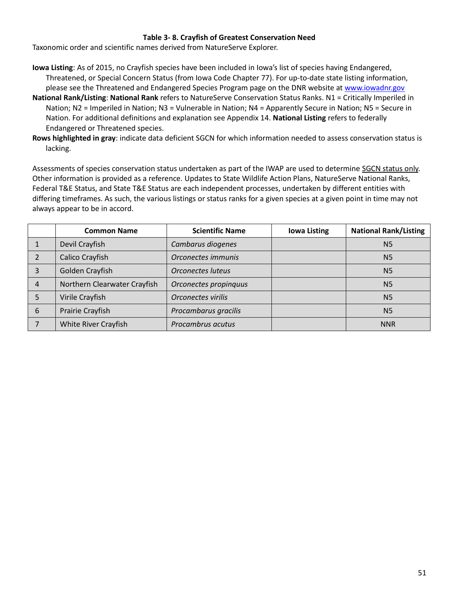### **Table 3- 8. Crayfish of Greatest Conservation Need**

Taxonomic order and scientific names derived from NatureServe Explorer.

- **Iowa Listing**: As of 2015, no Crayfish species have been included in Iowa's list of species having Endangered, Threatened, or Special Concern Status (from Iowa Code Chapter 77). For up-to-date state listing information, please see the Threatened and Endangered Species Program page on the DNR website at [www.iowadnr.gov](http://www.iowadnr.gov/)
- **National Rank/Listing**: **National Rank** refers to NatureServe Conservation Status Ranks. N1 = Critically Imperiled in Nation; N2 = Imperiled in Nation; N3 = Vulnerable in Nation; N4 = Apparently Secure in Nation; N5 = Secure in Nation. For additional definitions and explanation see Appendix 14. **National Listing** refers to federally Endangered or Threatened species.
- **Rows highlighted in gray**: indicate data deficient SGCN for which information needed to assess conservation status is lacking.

|   | <b>Common Name</b>           | <b>Scientific Name</b>   | <b>Iowa Listing</b> | <b>National Rank/Listing</b> |
|---|------------------------------|--------------------------|---------------------|------------------------------|
|   | Devil Crayfish               | Cambarus diogenes        |                     | N <sub>5</sub>               |
|   | Calico Crayfish              | Orconectes immunis       |                     | <b>N5</b>                    |
| 3 | Golden Crayfish              | <b>Orconectes luteus</b> |                     | N <sub>5</sub>               |
| 4 | Northern Clearwater Crayfish | Orconectes propinquus    |                     | <b>N5</b>                    |
|   | Virile Crayfish              | Orconectes virilis       |                     | N <sub>5</sub>               |
| 6 | Prairie Crayfish             | Procambarus gracilis     |                     | <b>N5</b>                    |
|   | <b>White River Crayfish</b>  | Procambrus acutus        |                     | <b>NNR</b>                   |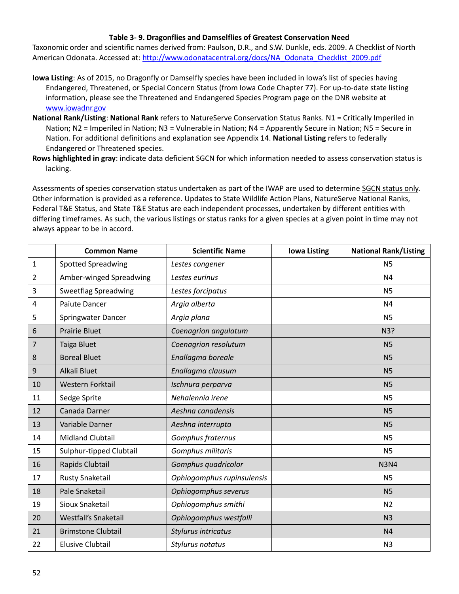### **Table 3- 9. Dragonflies and Damselflies of Greatest Conservation Need**

Taxonomic order and scientific names derived from: Paulson, D.R., and S.W. Dunkle, eds. 2009. A Checklist of North American Odonata. Accessed at: [http://www.odonatacentral.org/docs/NA\\_Odonata\\_Checklist\\_2009.pdf](http://www.odonatacentral.org/docs/NA_Odonata_Checklist_2009.pdf)

- **Iowa Listing**: As of 2015, no Dragonfly or Damselfly species have been included in Iowa's list of species having Endangered, Threatened, or Special Concern Status (from Iowa Code Chapter 77). For up-to-date state listing information, please see the Threatened and Endangered Species Program page on the DNR website at [www.iowadnr.gov](http://www.iowadnr.gov/)
- **National Rank/Listing**: **National Rank** refers to NatureServe Conservation Status Ranks. N1 = Critically Imperiled in Nation; N2 = Imperiled in Nation; N3 = Vulnerable in Nation; N4 = Apparently Secure in Nation; N5 = Secure in Nation. For additional definitions and explanation see Appendix 14. **National Listing** refers to federally Endangered or Threatened species.
- **Rows highlighted in gray**: indicate data deficient SGCN for which information needed to assess conservation status is lacking.

|                | <b>Common Name</b>          | <b>Scientific Name</b>     | <b>Iowa Listing</b> | <b>National Rank/Listing</b> |
|----------------|-----------------------------|----------------------------|---------------------|------------------------------|
| $\mathbf{1}$   | <b>Spotted Spreadwing</b>   | Lestes congener            |                     | N <sub>5</sub>               |
| $\overline{2}$ | Amber-winged Spreadwing     | Lestes eurinus             |                     | N <sub>4</sub>               |
| 3              | <b>Sweetflag Spreadwing</b> | Lestes forcipatus          |                     | <b>N5</b>                    |
| 4              | <b>Paiute Dancer</b>        | Argia alberta              |                     | N <sub>4</sub>               |
| 5              | Springwater Dancer          | Argia plana                |                     | <b>N5</b>                    |
| 6              | <b>Prairie Bluet</b>        | Coenagrion angulatum       |                     | N3?                          |
| $\overline{7}$ | Taiga Bluet                 | Coenagrion resolutum       |                     | N <sub>5</sub>               |
| 8              | <b>Boreal Bluet</b>         | Enallagma boreale          |                     | N <sub>5</sub>               |
| 9              | Alkali Bluet                | Enallagma clausum          |                     | N <sub>5</sub>               |
| 10             | Western Forktail            | Ischnura perparva          |                     | N <sub>5</sub>               |
| 11             | Sedge Sprite                | Nehalennia irene           |                     | <b>N5</b>                    |
| 12             | Canada Darner               | Aeshna canadensis          |                     | N <sub>5</sub>               |
| 13             | Variable Darner             | Aeshna interrupta          |                     | N <sub>5</sub>               |
| 14             | <b>Midland Clubtail</b>     | Gomphus fraternus          |                     | N <sub>5</sub>               |
| 15             | Sulphur-tipped Clubtail     | Gomphus militaris          |                     | <b>N5</b>                    |
| 16             | Rapids Clubtail             | Gomphus quadricolor        |                     | <b>N3N4</b>                  |
| 17             | Rusty Snaketail             | Ophiogomphus rupinsulensis |                     | <b>N5</b>                    |
| 18             | Pale Snaketail              | Ophiogomphus severus       |                     | N <sub>5</sub>               |
| 19             | Sioux Snaketail             | Ophiogomphus smithi        |                     | N <sub>2</sub>               |
| 20             | Westfall's Snaketail        | Ophiogomphus westfalli     |                     | N <sub>3</sub>               |
| 21             | <b>Brimstone Clubtail</b>   | Stylurus intricatus        |                     | N <sub>4</sub>               |
| 22             | <b>Elusive Clubtail</b>     | Stylurus notatus           |                     | N <sub>3</sub>               |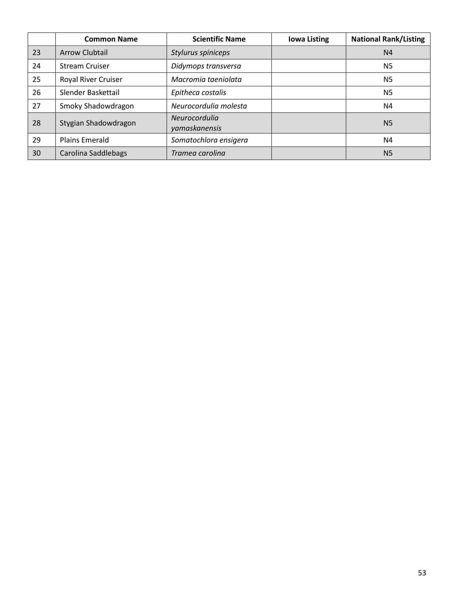|    | <b>Common Name</b>    | <b>Scientific Name</b>         | <b>Iowa Listing</b> | <b>National Rank/Listing</b> |
|----|-----------------------|--------------------------------|---------------------|------------------------------|
| 23 | <b>Arrow Clubtail</b> | Stylurus spiniceps             |                     | N <sub>4</sub>               |
| 24 | <b>Stream Cruiser</b> | Didymops transversa            |                     | N <sub>5</sub>               |
| 25 | Royal River Cruiser   | Macromia taeniolata            |                     | N <sub>5</sub>               |
| 26 | Slender Baskettail    | Epitheca costalis              |                     | N <sub>5</sub>               |
| 27 | Smoky Shadowdragon    | Neurocordulia molesta          |                     | N4                           |
| 28 | Stygian Shadowdragon  | Neurocordulia<br>yamaskanensis |                     | N <sub>5</sub>               |
| 29 | <b>Plains Emerald</b> | Somatochlora ensigera          |                     | N4                           |
| 30 | Carolina Saddlebags   | Tramea carolina                |                     | N <sub>5</sub>               |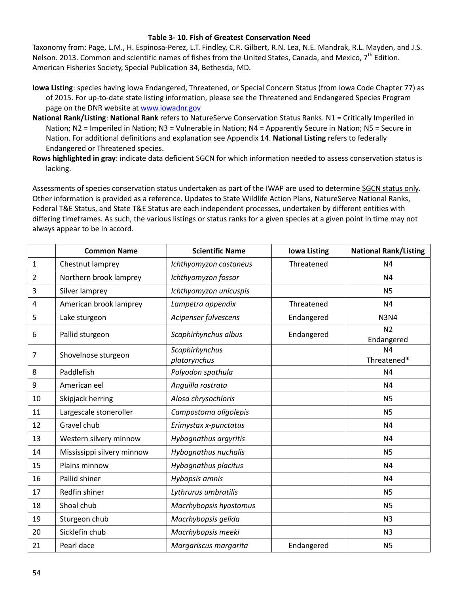#### **Table 3- 10. Fish of Greatest Conservation Need**

Taxonomy from: Page, L.M., H. Espinosa-Perez, L.T. Findley, C.R. Gilbert, R.N. Lea, N.E. Mandrak, R.L. Mayden, and J.S. Nelson. 2013. Common and scientific names of fishes from the United States, Canada, and Mexico,  $7<sup>th</sup>$  Edition. American Fisheries Society, Special Publication 34, Bethesda, MD.

- **Iowa Listing**: species having Iowa Endangered, Threatened, or Special Concern Status (from Iowa Code Chapter 77) as of 2015. For up-to-date state listing information, please see the Threatened and Endangered Species Program page on the DNR website at [www.iowadnr.gov](http://www.iowadnr.gov/)
- **National Rank/Listing**: **National Rank** refers to NatureServe Conservation Status Ranks. N1 = Critically Imperiled in Nation; N2 = Imperiled in Nation; N3 = Vulnerable in Nation; N4 = Apparently Secure in Nation; N5 = Secure in Nation. For additional definitions and explanation see Appendix 14. **National Listing** refers to federally Endangered or Threatened species.
- **Rows highlighted in gray**: indicate data deficient SGCN for which information needed to assess conservation status is lacking.

|              | <b>Common Name</b>         | <b>Scientific Name</b>         | <b>Iowa Listing</b> | <b>National Rank/Listing</b>  |
|--------------|----------------------------|--------------------------------|---------------------|-------------------------------|
| $\mathbf{1}$ | Chestnut lamprey           | Ichthyomyzon castaneus         | Threatened          | N <sub>4</sub>                |
| 2            | Northern brook lamprey     | Ichthyomyzon fossor            |                     | N <sub>4</sub>                |
| 3            | Silver lamprey             | Ichthyomyzon unicuspis         |                     | <b>N5</b>                     |
| 4            | American brook lamprey     | Lampetra appendix              | Threatened          | N <sub>4</sub>                |
| 5            | Lake sturgeon              | Acipenser fulvescens           | Endangered          | <b>N3N4</b>                   |
| 6            | Pallid sturgeon            | Scaphirhynchus albus           | Endangered          | N <sub>2</sub><br>Endangered  |
| 7            | Shovelnose sturgeon        | Scaphirhynchus<br>platorynchus |                     | N <sub>4</sub><br>Threatened* |
| 8            | Paddlefish                 | Polyodon spathula              |                     | N <sub>4</sub>                |
| 9            | American eel               | Anguilla rostrata              |                     | N <sub>4</sub>                |
| 10           | Skipjack herring           | Alosa chrysochloris            |                     | <b>N5</b>                     |
| 11           | Largescale stoneroller     | Campostoma oligolepis          |                     | <b>N5</b>                     |
| 12           | Gravel chub                | Erimystax x-punctatus          |                     | N <sub>4</sub>                |
| 13           | Western silvery minnow     | Hybognathus argyritis          |                     | N <sub>4</sub>                |
| 14           | Mississippi silvery minnow | Hybognathus nuchalis           |                     | <b>N5</b>                     |
| 15           | Plains minnow              | Hybognathus placitus           |                     | N <sub>4</sub>                |
| 16           | Pallid shiner              | Hybopsis amnis                 |                     | N <sub>4</sub>                |
| 17           | Redfin shiner              | Lythrurus umbratilis           |                     | N <sub>5</sub>                |
| 18           | Shoal chub                 | Macrhybopsis hyostomus         |                     | <b>N5</b>                     |
| 19           | Sturgeon chub              | Macrhybopsis gelida            |                     | N <sub>3</sub>                |
| 20           | Sicklefin chub             | Macrhybopsis meeki             |                     | N <sub>3</sub>                |
| 21           | Pearl dace                 | Margariscus margarita          | Endangered          | N <sub>5</sub>                |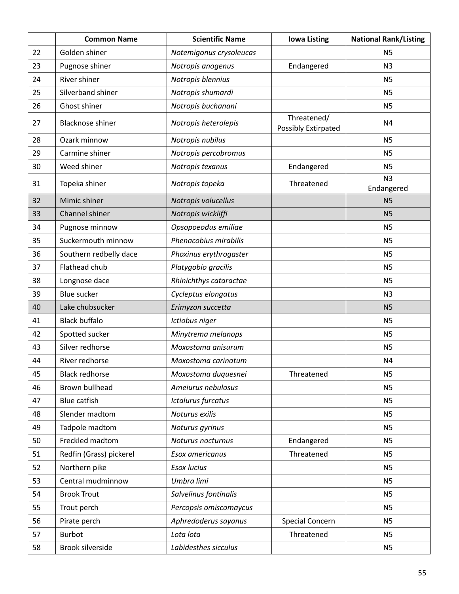|    | <b>Common Name</b>      | <b>Scientific Name</b>    | <b>Iowa Listing</b>                | <b>National Rank/Listing</b> |
|----|-------------------------|---------------------------|------------------------------------|------------------------------|
| 22 | Golden shiner           | Notemigonus crysoleucas   |                                    | N <sub>5</sub>               |
| 23 | Pugnose shiner          | Notropis anogenus         | Endangered                         | N <sub>3</sub>               |
| 24 | <b>River shiner</b>     | Notropis blennius         |                                    | N <sub>5</sub>               |
| 25 | Silverband shiner       | Notropis shumardi         |                                    | <b>N5</b>                    |
| 26 | Ghost shiner            | Notropis buchanani        |                                    | <b>N5</b>                    |
| 27 | <b>Blacknose shiner</b> | Notropis heterolepis      | Threatened/<br>Possibly Extirpated | N <sub>4</sub>               |
| 28 | Ozark minnow            | Notropis nubilus          |                                    | <b>N5</b>                    |
| 29 | Carmine shiner          | Notropis percobromus      |                                    | <b>N5</b>                    |
| 30 | Weed shiner             | Notropis texanus          | Endangered                         | N <sub>5</sub>               |
| 31 | Topeka shiner           | Notropis topeka           | Threatened                         | N <sub>3</sub><br>Endangered |
| 32 | Mimic shiner            | Notropis volucellus       |                                    | N <sub>5</sub>               |
| 33 | Channel shiner          | Notropis wickliffi        |                                    | N <sub>5</sub>               |
| 34 | Pugnose minnow          | Opsopoeodus emiliae       |                                    | N <sub>5</sub>               |
| 35 | Suckermouth minnow      | Phenacobius mirabilis     |                                    | N <sub>5</sub>               |
| 36 | Southern redbelly dace  | Phoxinus erythrogaster    |                                    | N <sub>5</sub>               |
| 37 | Flathead chub           | Platygobio gracilis       |                                    | N <sub>5</sub>               |
| 38 | Longnose dace           | Rhinichthys cataractae    |                                    | N <sub>5</sub>               |
| 39 | <b>Blue sucker</b>      | Cycleptus elongatus       |                                    | N <sub>3</sub>               |
| 40 | Lake chubsucker         | Erimyzon succetta         |                                    | N <sub>5</sub>               |
| 41 | <b>Black buffalo</b>    | Ictiobus niger            |                                    | N <sub>5</sub>               |
| 42 | Spotted sucker          | Minytrema melanops        |                                    | N <sub>5</sub>               |
| 43 | Silver redhorse         | Moxostoma anisurum        |                                    | N <sub>5</sub>               |
| 44 | River redhorse          | Moxostoma carinatum       |                                    | N <sub>4</sub>               |
| 45 | <b>Black redhorse</b>   | Moxostoma duquesnei       | Threatened                         | N <sub>5</sub>               |
| 46 | Brown bullhead          | Ameiurus nebulosus        |                                    | <b>N5</b>                    |
| 47 | <b>Blue catfish</b>     | <b>Ictalurus furcatus</b> |                                    | N <sub>5</sub>               |
| 48 | Slender madtom          | Noturus exilis            |                                    | <b>N5</b>                    |
| 49 | Tadpole madtom          | Noturus gyrinus           |                                    | N <sub>5</sub>               |
| 50 | Freckled madtom         | Noturus nocturnus         | Endangered                         | N <sub>5</sub>               |
| 51 | Redfin (Grass) pickerel | Esox americanus           | Threatened                         | N <sub>5</sub>               |
| 52 | Northern pike           | Esox lucius               |                                    | <b>N5</b>                    |
| 53 | Central mudminnow       | Umbra limi                |                                    | <b>N5</b>                    |
| 54 | <b>Brook Trout</b>      | Salvelinus fontinalis     |                                    | <b>N5</b>                    |
| 55 | Trout perch             | Percopsis omiscomaycus    |                                    | <b>N5</b>                    |
| 56 | Pirate perch            | Aphredoderus sayanus      | <b>Special Concern</b>             | <b>N5</b>                    |
| 57 | <b>Burbot</b>           | Lota lota                 | Threatened                         | <b>N5</b>                    |
| 58 | Brook silverside        | Labidesthes sicculus      |                                    | N <sub>5</sub>               |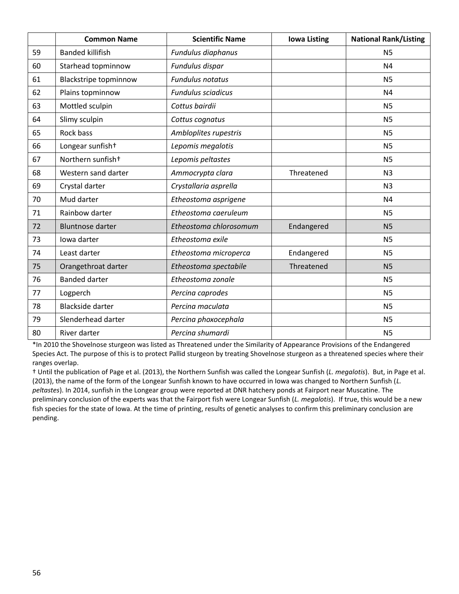|    | <b>Common Name</b>            | <b>Scientific Name</b>    | <b>Iowa Listing</b> | <b>National Rank/Listing</b> |
|----|-------------------------------|---------------------------|---------------------|------------------------------|
| 59 | <b>Banded killifish</b>       | Fundulus diaphanus        |                     | N <sub>5</sub>               |
| 60 | Starhead topminnow            | Fundulus dispar           |                     | N <sub>4</sub>               |
| 61 | <b>Blackstripe topminnow</b>  | <b>Fundulus notatus</b>   |                     | <b>N5</b>                    |
| 62 | Plains topminnow              | <b>Fundulus sciadicus</b> |                     | N <sub>4</sub>               |
| 63 | Mottled sculpin               | Cottus bairdii            |                     | <b>N5</b>                    |
| 64 | Slimy sculpin                 | Cottus cognatus           |                     | <b>N5</b>                    |
| 65 | <b>Rock bass</b>              | Ambloplites rupestris     |                     | <b>N5</b>                    |
| 66 | Longear sunfish+              | Lepomis megalotis         |                     | <b>N5</b>                    |
| 67 | Northern sunfish <sup>+</sup> | Lepomis peltastes         |                     | <b>N5</b>                    |
| 68 | Western sand darter           | Ammocrypta clara          | Threatened          | N <sub>3</sub>               |
| 69 | Crystal darter                | Crystallaria asprella     |                     | N <sub>3</sub>               |
| 70 | Mud darter                    | Etheostoma asprigene      |                     | N <sub>4</sub>               |
| 71 | Rainbow darter                | Etheostoma caeruleum      |                     | <b>N5</b>                    |
| 72 | <b>Bluntnose darter</b>       | Etheostoma chlorosomum    | Endangered          | N <sub>5</sub>               |
| 73 | Iowa darter                   | Etheostoma exile          |                     | <b>N5</b>                    |
| 74 | Least darter                  | Etheostoma microperca     | Endangered          | <b>N5</b>                    |
| 75 | Orangethroat darter           | Etheostoma spectabile     | Threatened          | N <sub>5</sub>               |
| 76 | <b>Banded darter</b>          | Etheostoma zonale         |                     | <b>N5</b>                    |
| 77 | Logperch                      | Percina caprodes          |                     | <b>N5</b>                    |
| 78 | <b>Blackside darter</b>       | Percina maculata          |                     | <b>N5</b>                    |
| 79 | Slenderhead darter            | Percina phoxocephala      |                     | <b>N5</b>                    |
| 80 | River darter                  | Percina shumardi          |                     | N <sub>5</sub>               |

\*In 2010 the Shovelnose sturgeon was listed as Threatened under the Similarity of Appearance Provisions of the Endangered Species Act. The purpose of this is to protect Pallid sturgeon by treating Shovelnose sturgeon as a threatened species where their ranges overlap.

† Until the publication of Page et al. (2013), the Northern Sunfish was called the Longear Sunfish (*L. megalotis*). But, in Page et al. (2013), the name of the form of the Longear Sunfish known to have occurred in Iowa was changed to Northern Sunfish (*L. peltastes*). In 2014, sunfish in the Longear group were reported at DNR hatchery ponds at Fairport near Muscatine. The preliminary conclusion of the experts was that the Fairport fish were Longear Sunfish (*L. megalotis*). If true, this would be a new fish species for the state of Iowa. At the time of printing, results of genetic analyses to confirm this preliminary conclusion are pending.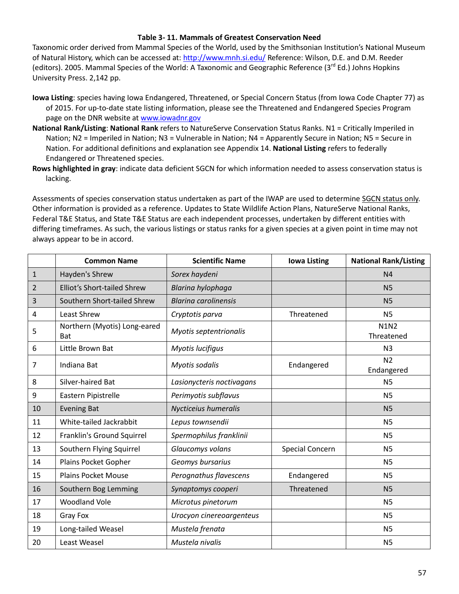### **Table 3- 11. Mammals of Greatest Conservation Need**

Taxonomic order derived from Mammal Species of the World, used by the Smithsonian Institution's National Museum of Natural History, which can be accessed at:<http://www.mnh.si.edu/> Reference: Wilson, D.E. and D.M. Reeder (editors). 2005. Mammal Species of the World: A Taxonomic and Geographic Reference (3<sup>rd</sup> Ed.) Johns Hopkins University Press. 2,142 pp.

- **Iowa Listing**: species having Iowa Endangered, Threatened, or Special Concern Status (from Iowa Code Chapter 77) as of 2015. For up-to-date state listing information, please see the Threatened and Endangered Species Program page on the DNR website at [www.iowadnr.gov](http://www.iowadnr.gov/)
- **National Rank/Listing**: **National Rank** refers to NatureServe Conservation Status Ranks. N1 = Critically Imperiled in Nation; N2 = Imperiled in Nation; N3 = Vulnerable in Nation; N4 = Apparently Secure in Nation; N5 = Secure in Nation. For additional definitions and explanation see Appendix 14. **National Listing** refers to federally Endangered or Threatened species.
- **Rows highlighted in gray**: indicate data deficient SGCN for which information needed to assess conservation status is lacking.

|                | <b>Common Name</b>                         | <b>Scientific Name</b>      | <b>Iowa Listing</b>    | <b>National Rank/Listing</b> |
|----------------|--------------------------------------------|-----------------------------|------------------------|------------------------------|
| $\mathbf{1}$   | Hayden's Shrew                             | Sorex haydeni               |                        | N <sub>4</sub>               |
| $\overline{2}$ | <b>Elliot's Short-tailed Shrew</b>         | Blarina hylophaga           |                        | N <sub>5</sub>               |
| 3              | Southern Short-tailed Shrew                | <b>Blarina carolinensis</b> |                        | <b>N5</b>                    |
| 4              | Least Shrew                                | Cryptotis parva             | Threatened             | <b>N5</b>                    |
| 5              | Northern (Myotis) Long-eared<br><b>Bat</b> | Myotis septentrionalis      |                        | <b>N1N2</b><br>Threatened    |
| 6              | Little Brown Bat                           | Myotis lucifigus            |                        | N <sub>3</sub>               |
| 7              | Indiana Bat                                | Myotis sodalis              | Endangered             | N <sub>2</sub><br>Endangered |
| 8              | Silver-haired Bat                          | Lasionycteris noctivagans   |                        | N <sub>5</sub>               |
| 9              | Eastern Pipistrelle                        | Perimyotis subflavus        |                        | N <sub>5</sub>               |
| 10             | <b>Evening Bat</b>                         | Nycticeius humeralis        |                        | N <sub>5</sub>               |
| 11             | White-tailed Jackrabbit                    | Lepus townsendii            |                        | N <sub>5</sub>               |
| 12             | Franklin's Ground Squirrel                 | Spermophilus franklinii     |                        | <b>N5</b>                    |
| 13             | Southern Flying Squirrel                   | Glaucomys volans            | <b>Special Concern</b> | <b>N5</b>                    |
| 14             | Plains Pocket Gopher                       | Geomys bursarius            |                        | N <sub>5</sub>               |
| 15             | <b>Plains Pocket Mouse</b>                 | Perognathus flavescens      | Endangered             | N <sub>5</sub>               |
| 16             | Southern Bog Lemming                       | Synaptomys cooperi          | Threatened             | N <sub>5</sub>               |
| 17             | <b>Woodland Vole</b>                       | Microtus pinetorum          |                        | <b>N5</b>                    |
| 18             | Gray Fox                                   | Urocyon cinereoargenteus    |                        | <b>N5</b>                    |
| 19             | Long-tailed Weasel                         | Mustela frenata             |                        | N <sub>5</sub>               |
| 20             | Least Weasel                               | Mustela nivalis             |                        | N <sub>5</sub>               |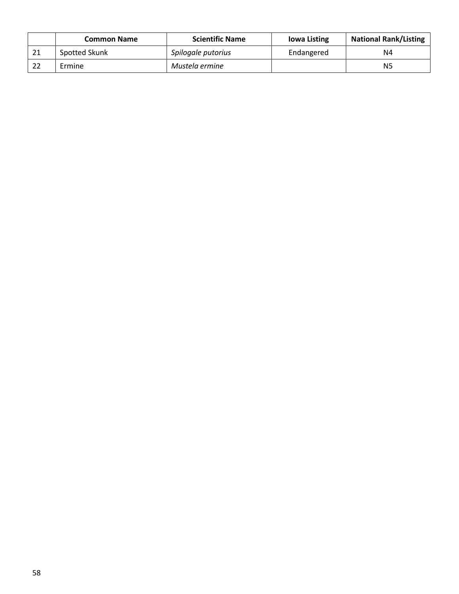|    | <b>Common Name</b> | <b>Scientific Name</b> | <b>Iowa Listing</b> | <b>National Rank/Listing</b> |
|----|--------------------|------------------------|---------------------|------------------------------|
| 21 | Spotted Skunk      | Spilogale putorius     | Endangered          | N4                           |
|    | Ermine             | Mustela ermine         |                     | N <sub>5</sub>               |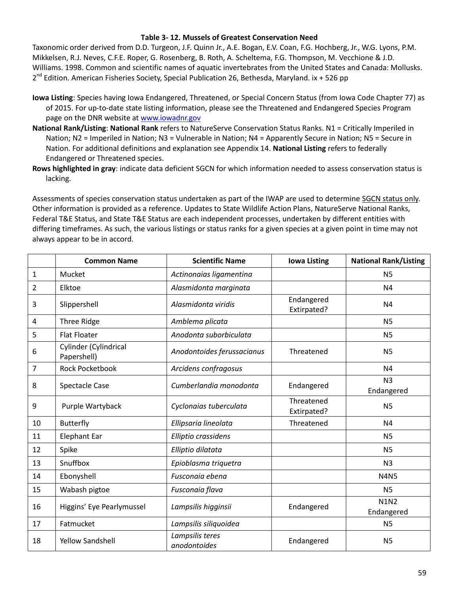#### **Table 3- 12. Mussels of Greatest Conservation Need**

Taxonomic order derived from D.D. Turgeon, J.F. Quinn Jr., A.E. Bogan, E.V. Coan, F.G. Hochberg, Jr., W.G. Lyons, P.M. Mikkelsen, R.J. Neves, C.F.E. Roper, G. Rosenberg, B. Roth, A. Scheltema, F.G. Thompson, M. Vecchione & J.D. Williams. 1998. Common and scientific names of aquatic invertebrates from the United States and Canada: Mollusks. 2<sup>nd</sup> Edition. American Fisheries Society, Special Publication 26, Bethesda, Maryland. ix + 526 pp

- **Iowa Listing**: Species having Iowa Endangered, Threatened, or Special Concern Status (from Iowa Code Chapter 77) as of 2015. For up-to-date state listing information, please see the Threatened and Endangered Species Program page on the DNR website at [www.iowadnr.gov](http://www.iowadnr.gov/)
- **National Rank/Listing**: **National Rank** refers to NatureServe Conservation Status Ranks. N1 = Critically Imperiled in Nation; N2 = Imperiled in Nation; N3 = Vulnerable in Nation; N4 = Apparently Secure in Nation; N5 = Secure in Nation. For additional definitions and explanation see Appendix 14. **National Listing** refers to federally Endangered or Threatened species.
- **Rows highlighted in gray**: indicate data deficient SGCN for which information needed to assess conservation status is lacking.

|    | <b>Common Name</b>                   | <b>Scientific Name</b>          | <b>Iowa Listing</b>       | <b>National Rank/Listing</b> |
|----|--------------------------------------|---------------------------------|---------------------------|------------------------------|
| 1  | Mucket                               | Actinonaias ligamentina         |                           | N <sub>5</sub>               |
| 2  | Elktoe                               | Alasmidonta marginata           |                           | N <sub>4</sub>               |
| 3  | Slippershell                         | Alasmidonta viridis             | Endangered<br>Extirpated? | N <sub>4</sub>               |
| 4  | <b>Three Ridge</b>                   | Amblema plicata                 |                           | <b>N5</b>                    |
| 5  | <b>Flat Floater</b>                  | Anodonta suborbiculata          |                           | <b>N5</b>                    |
| 6  | Cylinder (Cylindrical<br>Papershell) | Anodontoides ferussacianus      | Threatened                | N <sub>5</sub>               |
| 7  | Rock Pocketbook                      | Arcidens confragosus            |                           | N <sub>4</sub>               |
| 8  | <b>Spectacle Case</b>                | Cumberlandia monodonta          | Endangered                | N <sub>3</sub><br>Endangered |
| 9  | Purple Wartyback                     | Cyclonaias tuberculata          | Threatened<br>Extirpated? | N <sub>5</sub>               |
| 10 | <b>Butterfly</b>                     | Ellipsaria lineolata            | Threatened                | N <sub>4</sub>               |
| 11 | <b>Elephant Ear</b>                  | Elliptio crassidens             |                           | N <sub>5</sub>               |
| 12 | Spike                                | Elliptio dilatata               |                           | <b>N5</b>                    |
| 13 | Snuffbox                             | Epioblasma triquetra            |                           | N <sub>3</sub>               |
| 14 | Ebonyshell                           | Fusconaia ebena                 |                           | <b>N4N5</b>                  |
| 15 | Wabash pigtoe                        | Fusconaia flava                 |                           | <b>N5</b>                    |
| 16 | Higgins' Eye Pearlymussel            | Lampsilis higginsii             | Endangered                | <b>N1N2</b><br>Endangered    |
| 17 | Fatmucket                            | Lampsilis siliquoidea           |                           | N <sub>5</sub>               |
| 18 | <b>Yellow Sandshell</b>              | Lampsilis teres<br>anodontoides | Endangered                | N <sub>5</sub>               |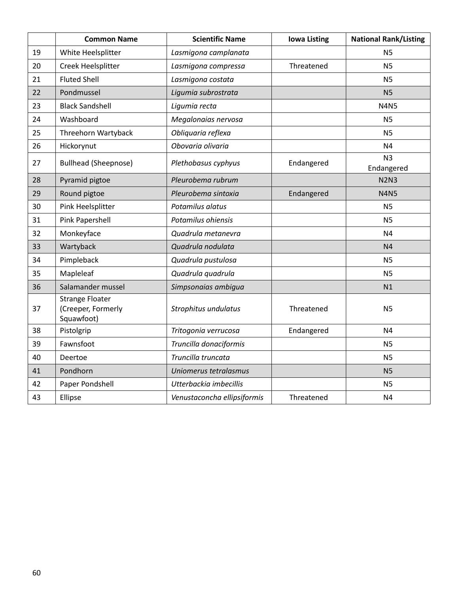|    | <b>Common Name</b>                                         | <b>Scientific Name</b>      | <b>Iowa Listing</b> | <b>National Rank/Listing</b> |
|----|------------------------------------------------------------|-----------------------------|---------------------|------------------------------|
| 19 | White Heelsplitter                                         | Lasmigona camplanata        |                     | N <sub>5</sub>               |
| 20 | Creek Heelsplitter                                         | Lasmigona compressa         | Threatened          | N <sub>5</sub>               |
| 21 | <b>Fluted Shell</b>                                        | Lasmigona costata           |                     | N <sub>5</sub>               |
| 22 | Pondmussel                                                 | Ligumia subrostrata         |                     | N <sub>5</sub>               |
| 23 | <b>Black Sandshell</b>                                     | Ligumia recta               |                     | <b>N4N5</b>                  |
| 24 | Washboard                                                  | Megalonaias nervosa         |                     | N <sub>5</sub>               |
| 25 | Threehorn Wartyback                                        | Obliquaria reflexa          |                     | N <sub>5</sub>               |
| 26 | Hickorynut                                                 | Obovaria olivaria           |                     | N <sub>4</sub>               |
| 27 | <b>Bullhead (Sheepnose)</b>                                | Plethobasus cyphyus         | Endangered          | N <sub>3</sub><br>Endangered |
| 28 | Pyramid pigtoe                                             | Pleurobema rubrum           |                     | <b>N2N3</b>                  |
| 29 | Round pigtoe                                               | Pleurobema sintoxia         | Endangered          | <b>N4N5</b>                  |
| 30 | Pink Heelsplitter                                          | Potamilus alatus            |                     | N <sub>5</sub>               |
| 31 | Pink Papershell                                            | Potamilus ohiensis          |                     | N <sub>5</sub>               |
| 32 | Monkeyface                                                 | Quadrula metanevra          |                     | N <sub>4</sub>               |
| 33 | Wartyback                                                  | Quadrula nodulata           |                     | N <sub>4</sub>               |
| 34 | Pimpleback                                                 | Quadrula pustulosa          |                     | N <sub>5</sub>               |
| 35 | Mapleleaf                                                  | Quadrula quadrula           |                     | N <sub>5</sub>               |
| 36 | Salamander mussel                                          | Simpsonaias ambigua         |                     | N1                           |
| 37 | <b>Strange Floater</b><br>(Creeper, Formerly<br>Squawfoot) | Strophitus undulatus        | Threatened          | N <sub>5</sub>               |
| 38 | Pistolgrip                                                 | Tritogonia verrucosa        | Endangered          | N <sub>4</sub>               |
| 39 | Fawnsfoot                                                  | Truncilla donaciformis      |                     | N <sub>5</sub>               |
| 40 | Deertoe                                                    | Truncilla truncata          |                     | N <sub>5</sub>               |
| 41 | Pondhorn                                                   | Uniomerus tetralasmus       |                     | N <sub>5</sub>               |
| 42 | Paper Pondshell                                            | Utterbackia imbecillis      |                     | <b>N5</b>                    |
| 43 | Ellipse                                                    | Venustaconcha ellipsiformis | Threatened          | N <sub>4</sub>               |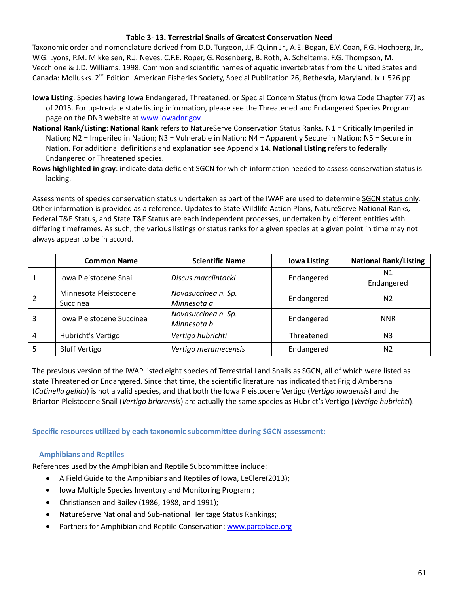### **Table 3- 13. Terrestrial Snails of Greatest Conservation Need**

Taxonomic order and nomenclature derived from D.D. Turgeon, J.F. Quinn Jr., A.E. Bogan, E.V. Coan, F.G. Hochberg, Jr., W.G. Lyons, P.M. Mikkelsen, R.J. Neves, C.F.E. Roper, G. Rosenberg, B. Roth, A. Scheltema, F.G. Thompson, M. Vecchione & J.D. Williams. 1998. Common and scientific names of aquatic invertebrates from the United States and Canada: Mollusks. 2<sup>nd</sup> Edition. American Fisheries Society, Special Publication 26, Bethesda, Maryland. ix + 526 pp

- **Iowa Listing**: Species having Iowa Endangered, Threatened, or Special Concern Status (from Iowa Code Chapter 77) as of 2015. For up-to-date state listing information, please see the Threatened and Endangered Species Program page on the DNR website at [www.iowadnr.gov](http://www.iowadnr.gov/)
- **National Rank/Listing**: **National Rank** refers to NatureServe Conservation Status Ranks. N1 = Critically Imperiled in Nation; N2 = Imperiled in Nation; N3 = Vulnerable in Nation; N4 = Apparently Secure in Nation; N5 = Secure in Nation. For additional definitions and explanation see Appendix 14. **National Listing** refers to federally Endangered or Threatened species.
- **Rows highlighted in gray**: indicate data deficient SGCN for which information needed to assess conservation status is lacking.

Assessments of species conservation status undertaken as part of the IWAP are used to determine SGCN status only. Other information is provided as a reference. Updates to State Wildlife Action Plans, NatureServe National Ranks, Federal T&E Status, and State T&E Status are each independent processes, undertaken by different entities with differing timeframes. As such, the various listings or status ranks for a given species at a given point in time may not always appear to be in accord.

|   | <b>Common Name</b>        | <b>Scientific Name</b> | <b>Iowa Listing</b> | <b>National Rank/Listing</b> |
|---|---------------------------|------------------------|---------------------|------------------------------|
|   | Iowa Pleistocene Snail    | Discus macclintocki    | Endangered          | N1                           |
|   |                           |                        |                     | Endangered                   |
| 2 | Minnesota Pleistocene     | Novasuccinea n. Sp.    | Endangered          | N <sub>2</sub>               |
|   | <b>Succinea</b>           | Minnesota a            |                     |                              |
| 3 | Iowa Pleistocene Succinea | Novasuccinea n. Sp.    | Endangered          | <b>NNR</b>                   |
|   |                           | Minnesota b            |                     |                              |
| 4 | Hubricht's Vertigo        | Vertigo hubrichti      | Threatened          | N <sub>3</sub>               |
|   | <b>Bluff Vertigo</b>      | Vertigo meramecensis   | Endangered          | N <sub>2</sub>               |

The previous version of the IWAP listed eight species of Terrestrial Land Snails as SGCN, all of which were listed as state Threatened or Endangered. Since that time, the scientific literature has indicated that Frigid Ambersnail (*Catinella gelida*) is not a valid species, and that both the Iowa Pleistocene Vertigo (*Vertigo iowaensis*) and the Briarton Pleistocene Snail (*Vertigo briarensis*) are actually the same species as Hubrict's Vertigo (*Vertigo hubrichti*).

**Specific resources utilized by each taxonomic subcommittee during SGCN assessment:**

# **Amphibians and Reptiles**

References used by the Amphibian and Reptile Subcommittee include:

- A Field Guide to the Amphibians and Reptiles of Iowa, LeClere(2013);
- Iowa Multiple Species Inventory and Monitoring Program;
- Christiansen and Bailey (1986, 1988, and 1991);
- NatureServe National and Sub-national Heritage Status Rankings;
- Partners for Amphibian and Reptile Conservation: [www.parcplace.org](http://www.parcplace.org/)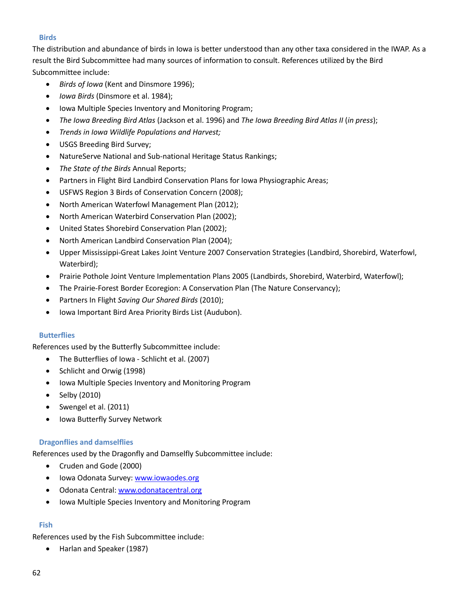## **Birds**

The distribution and abundance of birds in Iowa is better understood than any other taxa considered in the IWAP. As a result the Bird Subcommittee had many sources of information to consult. References utilized by the Bird Subcommittee include:

- *Birds of Iowa* (Kent and Dinsmore 1996);
- *Iowa Birds* (Dinsmore et al. 1984);
- Iowa Multiple Species Inventory and Monitoring Program;
- *The Iowa Breeding Bird Atlas* (Jackson et al. 1996) and *The Iowa Breeding Bird Atlas II* (*in press*);
- *Trends in Iowa Wildlife Populations and Harvest;*
- USGS Breeding Bird Survey;
- NatureServe National and Sub-national Heritage Status Rankings;
- *The State of the Birds* Annual Reports;
- Partners in Flight Bird Landbird Conservation Plans for Iowa Physiographic Areas;
- USFWS Region 3 Birds of Conservation Concern (2008);
- North American Waterfowl Management Plan (2012);
- North American Waterbird Conservation Plan (2002);
- United States Shorebird Conservation Plan (2002);
- North American Landbird Conservation Plan (2004);
- Upper Mississippi-Great Lakes Joint Venture 2007 Conservation Strategies (Landbird, Shorebird, Waterfowl, Waterbird);
- Prairie Pothole Joint Venture Implementation Plans 2005 (Landbirds, Shorebird, Waterbird, Waterfowl);
- The Prairie-Forest Border Ecoregion: A Conservation Plan (The Nature Conservancy);
- Partners In Flight *Saving Our Shared Birds* (2010);
- Iowa Important Bird Area Priority Birds List (Audubon).

### **Butterflies**

References used by the Butterfly Subcommittee include:

- The Butterflies of Iowa Schlicht et al. (2007)
- Schlicht and Orwig (1998)
- Iowa Multiple Species Inventory and Monitoring Program
- $\bullet$  Selby (2010)
- Swengel et al. (2011)
- Iowa Butterfly Survey Network

# **Dragonflies and damselflies**

References used by the Dragonfly and Damselfly Subcommittee include:

- Cruden and Gode (2000)
- Iowa Odonata Survey: [www.iowaodes.org](http://www.iowaodes.org/)
- Odonata Central: [www.odonatacentral.org](http://www.odonatacentral.org/)
- Iowa Multiple Species Inventory and Monitoring Program

# **Fish**

References used by the Fish Subcommittee include:

Harlan and Speaker (1987)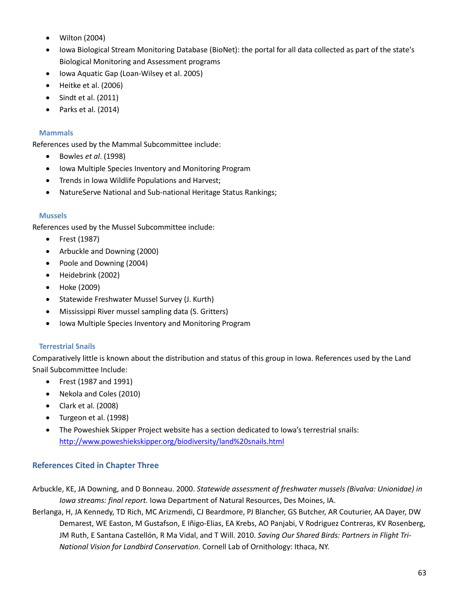- Wilton (2004)
- Iowa Biological Stream Monitoring Database (BioNet): the portal for all data collected as part of the state's Biological Monitoring and Assessment programs
- Iowa Aquatic Gap (Loan-Wilsey et al. 2005)
- Heitke et al. (2006)
- $\bullet$  Sindt et al. (2011)
- $\bullet$  Parks et al. (2014)

### **Mammals**

References used by the Mammal Subcommittee include:

- Bowles *et al*. (1998)
- Iowa Multiple Species Inventory and Monitoring Program
- **•** Trends in Iowa Wildlife Populations and Harvest;
- NatureServe National and Sub-national Heritage Status Rankings;

### **Mussels**

References used by the Mussel Subcommittee include:

- Frest (1987)
- Arbuckle and Downing (2000)
- Poole and Downing (2004)
- Heidebrink (2002)
- Hoke (2009)
- Statewide Freshwater Mussel Survey (J. Kurth)
- Mississippi River mussel sampling data (S. Gritters)
- Iowa Multiple Species Inventory and Monitoring Program

### **Terrestrial Snails**

Comparatively little is known about the distribution and status of this group in Iowa. References used by the Land Snail Subcommittee Include:

- Frest (1987 and 1991)
- Nekola and Coles (2010)
- Clark et al. (2008)
- Turgeon et al. (1998)
- The Poweshiek Skipper Project website has a section dedicated to Iowa's terrestrial snails: <http://www.poweshiekskipper.org/biodiversity/land%20snails.html>

# **References Cited in Chapter Three**

- Arbuckle, KE, JA Downing, and D Bonneau. 2000. *Statewide assessment of freshwater mussels (Bivalva: Unionidae) in Iowa streams: final report.* Iowa Department of Natural Resources, Des Moines, IA.
- Berlanga, H, JA Kennedy, TD Rich, MC Arizmendi, CJ Beardmore, PJ Blancher, GS Butcher, AR Couturier, AA Dayer, DW Demarest, WE Easton, M Gustafson, E Iñigo-Elias, EA Krebs, AO Panjabi, V Rodriguez Contreras, KV Rosenberg, JM Ruth, E Santana Castellón, R Ma Vidal, and T Will. 2010. *Saving Our Shared Birds: Partners in Flight Tri-National Vision for Landbird Conservation.* Cornell Lab of Ornithology: Ithaca, NY.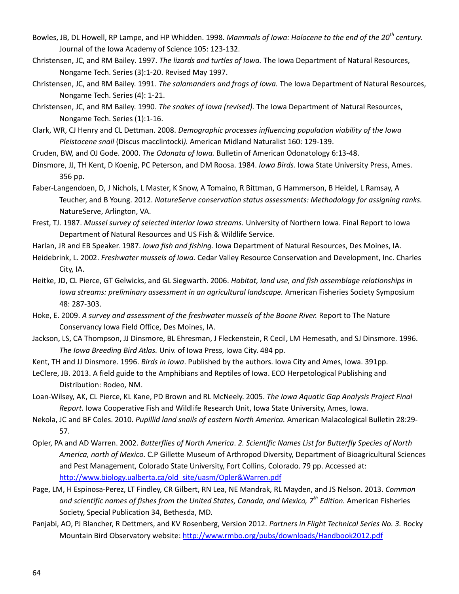- Bowles, JB, DL Howell, RP Lampe, and HP Whidden. 1998. *Mammals of Iowa: Holocene to the end of the 20th century.* Journal of the Iowa Academy of Science 105: 123-132.
- Christensen, JC, and RM Bailey. 1997. *The lizards and turtles of Iowa.* The Iowa Department of Natural Resources, Nongame Tech. Series (3):1-20. Revised May 1997.
- Christensen, JC, and RM Bailey. 1991. *The salamanders and frogs of Iowa.* The Iowa Department of Natural Resources, Nongame Tech. Series (4): 1-21.
- Christensen, JC, and RM Bailey. 1990. *The snakes of Iowa (revised).* The Iowa Department of Natural Resources, Nongame Tech. Series (1):1-16.
- Clark, WR, CJ Henry and CL Dettman. 2008. *Demographic processes influencing population viability of the Iowa Pleistocene snail* (Discus macclintocki*).* American Midland Naturalist 160: 129-139.
- Cruden, BW, and OJ Gode. 2000. *The Odonata of Iowa.* Bulletin of American Odonatology 6:13-48.
- Dinsmore, JJ, TH Kent, D Koenig, PC Peterson, and DM Roosa. 1984. *Iowa Birds*. Iowa State University Press, Ames. 356 pp.
- Faber-Langendoen, D, J Nichols, L Master, K Snow, A Tomaino, R Bittman, G Hammerson, B Heidel, L Ramsay, A Teucher, and B Young. 2012. *NatureServe conservation status assessments: Methodology for assigning ranks.* NatureServe, Arlington, VA.
- Frest, TJ. 1987. *Mussel survey of selected interior Iowa streams.* University of Northern Iowa. Final Report to Iowa Department of Natural Resources and US Fish & Wildlife Service.
- Harlan, JR and EB Speaker. 1987. *Iowa fish and fishing.* Iowa Department of Natural Resources, Des Moines, IA.
- Heidebrink, L. 2002. *Freshwater mussels of Iowa.* Cedar Valley Resource Conservation and Development, Inc. Charles City, IA.
- Heitke, JD, CL Pierce, GT Gelwicks, and GL Siegwarth. 2006. *Habitat, land use, and fish assemblage relationships in Iowa streams: preliminary assessment in an agricultural landscape.* American Fisheries Society Symposium 48: 287-303.
- Hoke, E. 2009. *A survey and assessment of the freshwater mussels of the Boone River.* Report to The Nature Conservancy Iowa Field Office, Des Moines, IA.
- Jackson, LS, CA Thompson, JJ Dinsmore, BL Ehresman, J Fleckenstein, R Cecil, LM Hemesath, and SJ Dinsmore. 1996. *The Iowa Breeding Bird Atlas.* Univ. of Iowa Press, Iowa City. 484 pp.
- Kent, TH and JJ Dinsmore. 1996. *Birds in Iowa*. Published by the authors. Iowa City and Ames, Iowa. 391pp.
- LeClere, JB. 2013. A field guide to the Amphibians and Reptiles of Iowa. ECO Herpetological Publishing and Distribution: Rodeo, NM.
- Loan-Wilsey, AK, CL Pierce, KL Kane, PD Brown and RL McNeely. 2005. *The Iowa Aquatic Gap Analysis Project Final Report.* Iowa Cooperative Fish and Wildlife Research Unit, Iowa State University, Ames, Iowa.
- Nekola, JC and BF Coles. 2010. *Pupillid land snails of eastern North America.* American Malacological Bulletin 28:29- 57.
- Opler, PA and AD Warren. 2002. *Butterflies of North America*. *2. Scientific Names List for Butterfly Species of North America, north of Mexico.* C.P Gillette Museum of Arthropod Diversity, Department of Bioagricultural Sciences and Pest Management, Colorado State University, Fort Collins, Colorado. 79 pp. Accessed at: [http://www.biology.ualberta.ca/old\\_site/uasm/Opler&Warren.pdf](http://www.biology.ualberta.ca/old_site/uasm/Opler&Warren.pdf)
- Page, LM, H Espinosa-Perez, LT Findley, CR Gilbert, RN Lea, NE Mandrak, RL Mayden, and JS Nelson. 2013. *Common and scientific names of fishes from the United States, Canada, and Mexico, 7th Edition.* American Fisheries Society, Special Publication 34, Bethesda, MD.
- Panjabi, AO, PJ Blancher, R Dettmers, and KV Rosenberg, Version 2012. *Partners in Flight Technical Series No. 3.* Rocky Mountain Bird Observatory website[: http://www.rmbo.org/pubs/downloads/Handbook2012.pdf](http://www.rmbo.org/pubs/downloads/Handbook2012.pdf)